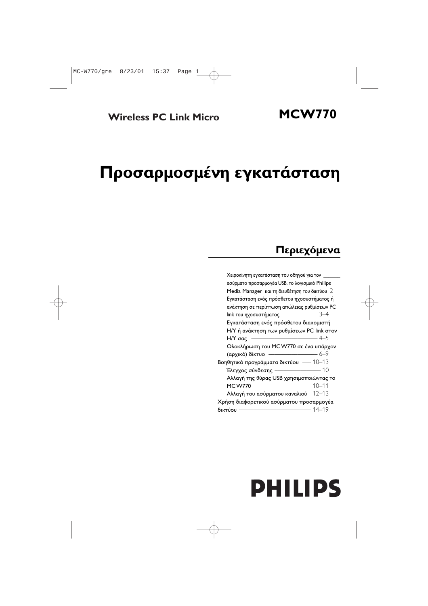## **Προσαρμοσμένη εγκατάσταση**

### **Περιεχόμενα**

| Χειροκίνητη εγκατάσταση του οδηγού για τον ___ |
|------------------------------------------------|
| ασύρματο προσαρμογέα USB, το λογισμικό Philips |
| Media Manager και τη διευθέτηση του δικτύου 2  |
| Εγκατάσταση ενός πρόσθετου ηχοσυστήματος ή     |
| ανάκτηση σε περίπτωση απώλειας ρυθμίσεων PC    |
| link του ηχοσυστήματος $\frac{\ }{\ }$ 3–4     |
| Εγκατάσταση ενός πρόσθετου διακομιστή          |
| H/Y ή ανάκτηση των ρυθμίσεων PC link στον      |
| Η/Υ σας -                                      |
| Ολοκλήρωση του MCW770 σε ένα υπάρχον           |
| $\frac{1}{6-9}$<br>(αρχικό) δίκτυο             |
| Βοηθητικά προγράμματα δικτύου - 10-13          |
| Έλεγχος σύνδεσης $\frac{1}{2}$ 10              |
| Αλλαγή της θύρας USB χρησιμοποιώντας το        |
| <b>MCW770</b>                                  |
| Αλλαγή του ασύρματου καναλιού 12-13            |
| Χρήση διαφορετικού ασύρματου προσαρμογέα       |
| δικτύου                                        |

# **PHILIPS**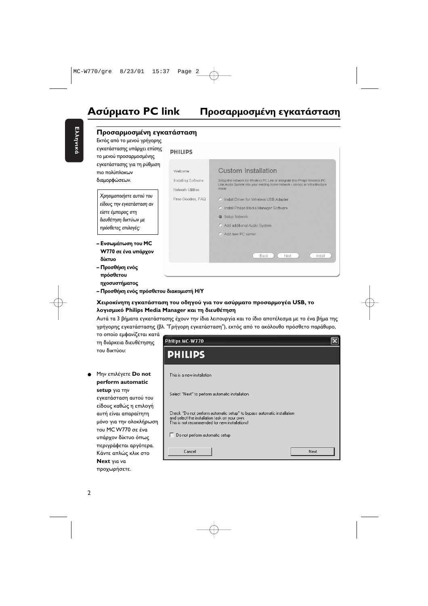$\overline{\mathsf{x}}$ 

#### **Προσαρμοσμένη εγκατάσταση** Εκτός από το μενού γρήγορης εγκατάστασης υπάρχει επίσης **DHILIDS** το μενού προσαρμοσμένης εγκατάστασης για τη ρύθμιση **Custom Installation** Welcome πιο πολύπλοκων διαμορφώσεων. Installing Software Setup the network for Wireless PC Link or integrate this Philips Wireless PC Link Audio System into your existing home network - ad-hoc or infrastructure mode Network Utilities Χρησιμοποιήστε αυτού του Free Goodies, FAQ C Install Driver for Wireless USB Adapter είδους την εγκατάσταση αν C Install Philips Media Manager Software είστε έμπειρος στη G Setup Network διευθέτηση δικτύων με O Add additional Audio System πρόσθετες επιλογές: C. Add new PC server **- Ενσωμάτωση του MC W770 σε ένα υπάρχον Back** Next Install δίκτυο – Προσθήκη ενός πρόσθετου

Ελληνικά Ελληνικά

> ηχοσυστήματος – Προσθήκη ενός πρόσθετου διακομιστή Η/Υ

#### **Χ**ειροκίνητη εγκατάσταση του οδηγού για τον ασύρματο προσαρμογέα USB, το λογισμικό Philips Media Manager και τη διευθέτηση

Philips MC-W770

**PHILIPS** 

Αυτά τα 3 βήματα εγκατάστασης έχουν την ίδια λειτουργία και το ίδιο αποτέλεσμα με το ένα βήμα της γρήγορης εγκατάστασης (βλ. "Γρήγορη εγκατάσταση"), εκτός από το ακόλουθο πρόσθετο παράθυρο,

το οποίο εμφανίζεται κατά τη διάρκεια διευθέτησης του δικτύου:

● Μην επιλέγετε **Do not** This is a new installation **perform automatic setup** για την Select "Next" to perform automatic installation εγκατάσταση αυτού του είδους καθώς η επιλογή Check "Do not perform automatic setup" to bypass automatic installation αυτή είναι απαραίτητη and select the installation task on your own. μόνο για την ολοκλήρωση This is not recommended for new installations! του MC W770 σε ένα Do not perform automatic setup υπάρχον δίκτυο όπως περιγράφεται αργότερα. Cancel Next Κάντε απλώς κλικ στο **Next** προχωρήσετε.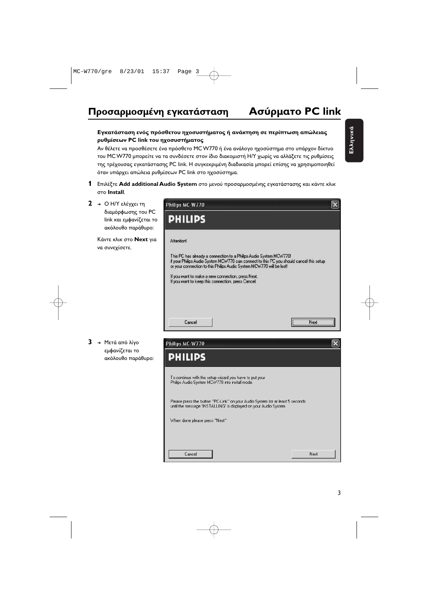#### **Εγκατάσταση ενός πρόσθετου ηχοσυστήματος ή ανάκτηση σε περίπτωση απώλειας** ρυθμίσεων PC link του ηχοσυστήματος

Αν θέλετε να προσθέσετε ένα πρόσθετο MC W770 ή ένα ανάλογο ηχοσύστημα στο υπάρχον δίκτυο του MC W770 μπορείτε να τα συνδέσετε στον ίδιο διακομιστή Η/Υ χωρίς να αλλάξετε τις ρυθμίσεις της τρέχουσας εγκατάστασης PC link. Η συγκεκριμένη διαδικασία μπορεί επίσης να χρησιμοποιηθεί όταν υπάρχει απώλεια ρυθμίσεων PC link στο ηχοσύστημα.

- **1** Επιλέξτε **Add additional Audio System** στο μενού προσαρμοσμένης εγκατάστασης και κάντε κλικ **Install**.
- **2** → Ο Η/Υ ελέγχει τη διαμόρφωσης του PC link και εμφανίζεται το ακόλουθο παράθυρο:

Κάντε κλικ στο **Next** για να συνεχίσετε.



**3** → Μετά από λίγο εμφανίζεται το ακόλουθο παράθυρο:

| Philips MC-W770                                                                                                                                   |      |
|---------------------------------------------------------------------------------------------------------------------------------------------------|------|
| <b>PHILIPS</b>                                                                                                                                    |      |
| To continue with the setup wizard you have to put your<br>Philips Audio System MCW770 into install mode.                                          |      |
| Please press the button "PC-Link" on your Audio System for at least 5 seconds<br>until the message 'INSTALLING' is displayed on your Audio System |      |
| When done please press "Next"                                                                                                                     |      |
|                                                                                                                                                   |      |
|                                                                                                                                                   |      |
| Cancel                                                                                                                                            | Next |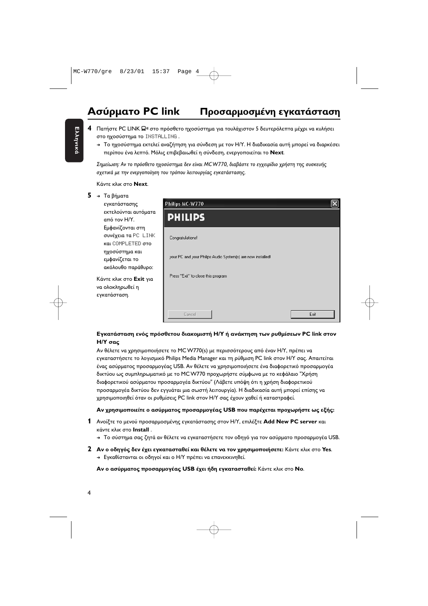#### **Ασύρματο PC link Πρ** οσαρμοσμένη εγκατάσταση

- **4** Πατήστε PC LINK **Ω**≋ στο πρόσθετο ηχοσύστημα για τουλάχιστον 5 δευτερόλεπτα μέχρι να κυλήσει στο ηχοσύστημα το INSTALLING .
	- → Το ηχοσύστημα εκτελεί αναζήτηση για σύνδεση με τον Η/Υ. Η διαδικασία αυτή μπορεί να διαρκέσει περίπου ένα λεπτό. Μόλις επιβεβαιωθεί η σύνδεση, ενεργοποιείται το **Next**.

Σημείωση: Αν το πρόσθετο ηχοσύστημα δεν είναι MCW770, διαβάστε το εγχειρίδιο χρήστη της συσκευής σχετικά με την ενεργοποίηση του τρόπου λειτουργίας εγκατάστασης.

Κάντε κλικ στο **Next**.

|  |  | Τα βήματα |
|--|--|-----------|
|--|--|-----------|

εγκατάστασης εκτελούνται αυτόματα από τον Η/Υ. Εμφανίζονται στη <mark>συνέχεια τα</mark> PC ΙLINK και COMPLETED στο ηχοσύστημα και εμφανίζεται το ακόλουθο παράθυρο:

Κάντε κλικ στο **Exit** για να ολοκληρωθεί η εγκατάσταση.



#### **Εγκατάσταση ενός πρόσθετου διακομιστή Η/Υ ή ανάκτηση των ρυθμίσεων PC link στον**  $H/Y$  σας

Αν θέλετε να χρησιμοποιήσετε το MC W770(s) με περισσότερους από έναν Η/Υ, πρέπει να εγκαταστήσετε το λογισμικό Philips Media Manager και τη ρύθμιση PC link στον Η/Υ σας. Απαιτείται ένας ασύρματος προσαρμογέας USB. Αν θέλετε να χρησιμοποιήσετε ένα διαφορετικό προσαρμογέα δικτύου ως συμπληρωματικό με το MC W770 προχωρήστε σύμφωνα με το κεφάλαιο "Χρήση διαφορετικού ασύρματου προσαρμογέα δικτύου" (Λάβετε υπόψη ότι η χρήση διαφορετικού προσαρμογέα δικτύου δεν εγγυάται μια σωστή λειτουργία). Η διαδικασία αυτή μπορεί επίσης να χρησιμοποιηθεί όταν οι ρυθμίσεις PC link στον Η/Υ σας έχουν χαθεί ή καταστραφεί.

#### **A**ν χρησιμοποιείτε ο ασύρματος προσαρμογέας USB που παρέχεται προχωρήστε ως εξής:

- **1** Ανοίξτε το μενού προσαρμοσμένης εγκατάστασης στον Η/Υ, επιλέξτε **Add New PC server** και - **Install** .
	- $\rightarrow$  Το σύστημα σας ζητά αν θέλετε να εγκαταστήσετε τον οδηγό για τον ασύρματο προσαρμογέα USB.
- $\bf 2$  **Αν ο οδηγός δεν έχει εγκατασταθεί και θέλετε να τον χρησιμοποιήσετε: Κάντε κλικ στο Yes.** → Εγκαθίστανται οι οδηγοί και ο Η/Υ πρέπει να επανεκκινηθεί.

**Αν ο ασύρματος προσαρμογέας USB έχει ήδη εγκατασταθεί:** Κάντε κλικ στο Νο.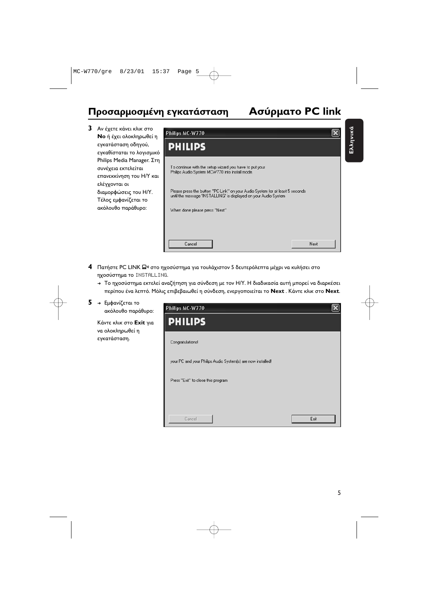### **PC link**

Ελληνικά Ελληνικά

**3** Αν έχετε κάνει κλικ στο **Νο** ή έχει ολοκληρωθεί η εγκατάσταση οδηγού, εγκαθίσταται το λογισμικό Philips Media Manager. Στη συνέχεια εκτελείται επανεκκίνηση του Η/Υ και ελέγχονται οι διαμορφώσεις του Η/Υ. Τέλος εμφανίζεται το ακόλουθο παράθυρο:



- **4** Πατήστε PC LINK Ω<sup>η</sup> στο ηχοσύστημα για τουλάχιστον 5 δευτερόλεπτα μέχρι να κυλήσει στο **ηχοσύστημα το** INSTALLING.
	- → Το ηχοσύστημα εκτελεί αναζήτηση για σύνδεση με τον Η/Υ. Η διαδικασία αυτή μπορεί να διαρκέσει περίπου ένα λεπτό. Μόλις επιβεβαιωθεί η σύνδεση, ενεργοποιείται το **Next** . Κάντε κλικ στο **Next**.
- **5 →** Εμφανίζεται το ακόλουθο παράθυρο:

Κάντε κλικ στο **Exit** για να ολοκληρωθεί η εγκατάσταση.

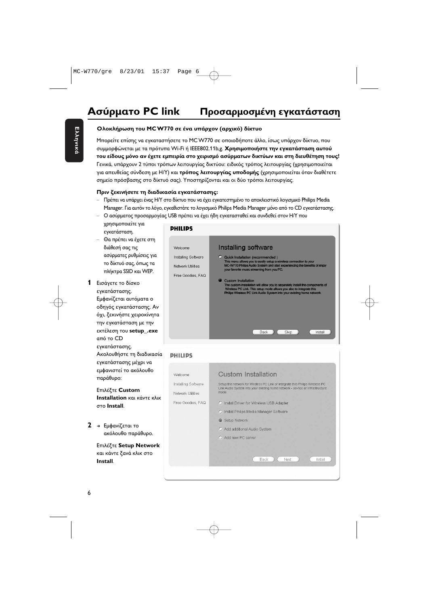#### Ολοκλήρωση του MC W770 σε ένα υπάρχον (αρχικό) δίκτυο

Μπορείτε επίσης να εγκαταστήσετε το MC W770 σε οποιοδήποτε άλλο, ίσως υπάρχον δίκτυο, που συμμορφώνεται με τα πρότυπα Wi-Fi ή IEEE802.11b,g. **Χρησιμοποιήστε την εγκατάσταση αυτού** του είδους μόνο αν έχετε εμπειρία στο χειρισμό ασύρματων δικτύων και στη διευθέτηση τους! Γενικά, υπάρχουν 2 τύποι τρόπων λειτουργίας δικτύου: ειδικός τρόπος λειτουργίας (χρησιμοποιείται για απευθείας σύνδεση με Η/Υ) και **τρόπος λειτουργίας υποδομής** (χρησιμοποιείται όταν διαθέτετε σημείο πρόσβασης στο δίκτυό σας). Υποστηρίζονται και οι δύο τρόποι λειτουργίας.

#### **Πριν ξεκινήσετε τη διαδικασία εγκατάστασης:**

- Πρέπει να υπάρχει ένας Η/Υ στο δίκτυο που να έχει εγκατεστημένο το αποκλειστικό λογισμικό Philips Media Manager. Για αυτόν το λόγο, εγκαθιστάτε το λογισμικό Philips Media Manager μόνο από το CD εγκατάστασης.
- Ο ασύρματος προσαρμογέας USB πρέπει να έχει ήδη εγκατασταθεί και συνδεθεί στον Η/Υ που χρησιμοποιείτε για
- εγκατάσταση. – Θα πρέπει να έχετε στη διάθεσή σας τις ασύρματες ρυθμίσεις για το δίκτυό σας, όπως τα πλήκτρα SSID και WEP.
- **1** Εισάγετε το δίσκο εγκατάστασης. Εμφανίζεται αυτόματα ο οδηγός εγκατάστασης. Αν όχι, ξεκινήστε χειροκίνητα την εγκατάσταση με την εκτέλεση του **setup\_.exe** από το CD εγκατάστασης. Ακολουθήστε τη διαδικασία εγκατάστασης μέχρι να εμφανιστεί το ακόλουθο παράθυρο:

**Επιλέξτε Custom Installation** και κάντε κλικ **Install**.

**2 →** Εμφανίζεται το ακόλουθο παράθυρο.

> **Επιλέξτε Setup Network** και κάντε ξανά κλικ στο **Install**.

| PHILIPS                                                                  |                                                                                                                                                                                                                                                                                                                                                                                                                                                                                                                                                        |
|--------------------------------------------------------------------------|--------------------------------------------------------------------------------------------------------------------------------------------------------------------------------------------------------------------------------------------------------------------------------------------------------------------------------------------------------------------------------------------------------------------------------------------------------------------------------------------------------------------------------------------------------|
| Welcome<br>Installing Software<br>Network Utilities<br>Free Goodies, FAQ | Installing software<br>O Quick Installation (recommended)<br>This menu allows you to easily setup a wireless connection to your<br>MC-W770 Philips Audio System and start experiencing the benefits of enjoy<br>your favorite music streaming from you PC.<br><b>Custom Installation</b><br>The custom installation will allow you to separately install the components of<br>Wireless PC Link. This setup mode allows you also to integrate this<br>Philips Wireless PC Link Audio System into your existing home network.<br>Skip<br>Install<br>Back |
|                                                                          |                                                                                                                                                                                                                                                                                                                                                                                                                                                                                                                                                        |

#### **DHILIDS**

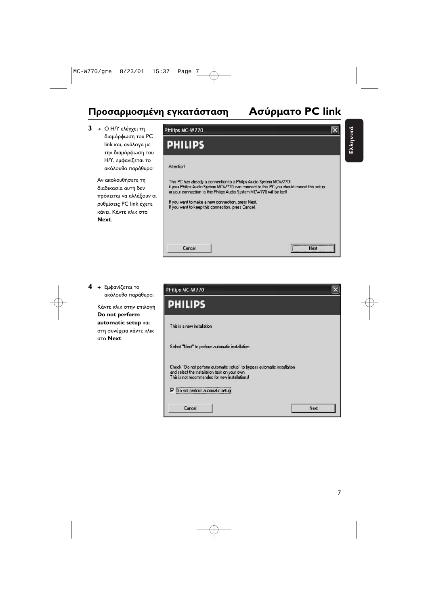### Προσαρμοσμένη εγκατάσταση Ασύρ

Philips MC-W770

### **PC link**

Ελληνικά Ελληνικά

 $\overline{\mathbf{x}}$ 

**3** → Ο Η/Υ ελέγχει τη διαμόρφωση του PC link και, ανάλογα με την διαμόρφωση του Η/Υ, εμφανίζεται το ακόλουθο παράθυρο:

> Αν ακολουθήσετε τη διαδικασία αυτή δεν πρόκειται να αλλάξουν οι ρυθμίσεις PC link έχετε κάνει. Κάντε κλικ στο **Next**.



**4** → Εμφανίζεται το ακόλουθο παράθυρο:

> Κάντε κλικ στην επιλογή **Do not perform automatic setup** στη συνέχεια κάντε κλικ **Next**.

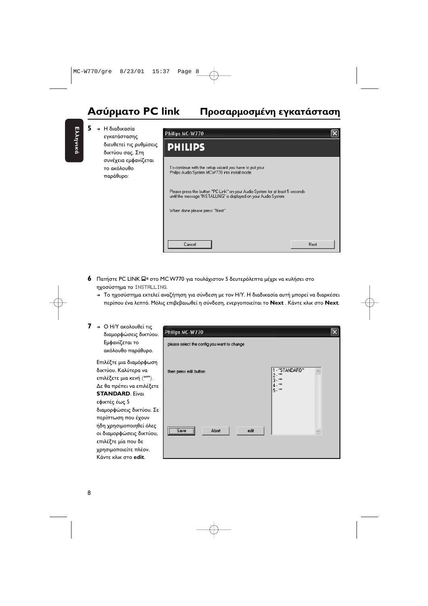#### **Ασύρματο PC link Πρ** οσαρμοσμένη εγκατάσταση

**5** → Η διαδικασία εγκατάστασης διευθετεί τις ρυθμίσεις δικτύου σας. Στη συνέχεια εμφανίζεται το ακόλουθο παράθυρο:



- **6** Πατήστε PC LINK Ω<sup>η</sup> στο MC W770 για τουλάχιστον 5 δευτερόλεπτα μέχρι να κυλήσει στο **ηχοσύστημα το** INSTALLING.
	- → Το ηχοσύστημα εκτελεί αναζήτηση για σύνδεση με τον Η/Υ. Η διαδικασία αυτή μπορεί να διαρκέσει περίπου ένα λεπτό. Μόλις επιβεβαιωθεί η σύνδεση, ενεργοποιείται το **Next** . Κάντε κλικ στο **Next**.

| 7 | → Ο Η/Υ ακολουθεί τις<br>διαμορφώσεις δικτύου.<br>Εμφανίζεται το<br>ακόλουθο παράθυρο.                                                                                                          | Philips MC-W770<br>please select the config you want to change |                                                                                    |
|---|-------------------------------------------------------------------------------------------------------------------------------------------------------------------------------------------------|----------------------------------------------------------------|------------------------------------------------------------------------------------|
|   | Επιλέξτε μια διαμόρφωση<br>δικτύου. Καλύτερα να<br>επιλέξετε μια κενή ("").<br>Δε θα πρέπει να επιλέξετε<br><b>STANDARD.</b> Eíval                                                              | then press edit button                                         | 1 - "STANDARD"<br>$2.$ $\cdot$ $\cdot$<br>$3 - 11$<br>4.""<br>$5.$ $\cdot$ $\cdot$ |
|   | εφικτές έως 5<br>διαμορφώσεις δικτύου. Σε<br>περίπτωση που έχουν<br>ήδη χρησιμοποιηθεί όλες<br>οι διαμορφώσεις δικτύου,<br>επιλέξτε μία που δε<br>χρησιμοποιείτε πλέον.<br>Κάντε κλικ στο edit. | Save<br>Abort<br>edit                                          |                                                                                    |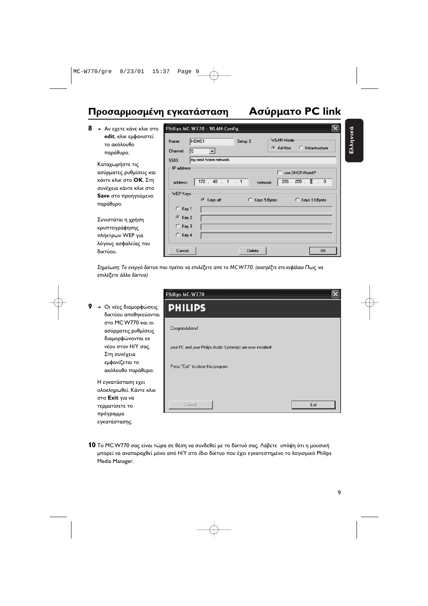### Προσαρμοσμένη εγκατάσταση Ασύρ

### **PC link**

| WLAN-Mode<br>HOME <sub>1</sub><br>Setup 3<br>Name:                                                                                                                                                        |
|-----------------------------------------------------------------------------------------------------------------------------------------------------------------------------------------------------------|
| G Ad-Hoc<br>C Infrastructure<br>Channel:<br>5                                                                                                                                                             |
| my next home network<br>SSID:<br>IP address<br>□ use DHCP/AutoIP<br>40<br>.255<br>$\cdot$ 0<br>172<br>255<br>Œ.<br>address:<br>netmask:<br>WEP-Keys<br>C Keys off<br>C Keys 5 Bytes<br>C<br>Keys 13 Bytes |
| $C$ Key 1<br>$6$ Key 2<br>$C$ Key 3<br>$C$ Key 4<br><b>OK</b><br>Delete<br>Cancel                                                                                                                         |
|                                                                                                                                                                                                           |

Σημείωση: Το ενεργό δίκτυο που πρέπει να επιλέξετε από το MCW770. (ανατρέξτε στο κεφάλαιο Πως να επιλέξετε άλλο δίκτυο)

**9** → Οι νέες διαμορφώσεις δικτύου αποθηκεύονται στο MC W770 και οι ασύρματες ρυθμίσεις διαμορφώνονται εκ νέου στον Η/Υ σας. Στη συνέχεια εμφανίζεται το ακόλουθο παράθυρο:

> Η εγκατάσταση εχει ολοκληρωθεί. Κάντε κλικ στο **Exit** για να τερματίσετε το πρόγραμμα εγκατάστασης.



**10** Το MCW770 σας είναι τώρα σε θέση να συνδεθεί με το δίκτυό σας. Λάβετε υπόψη ότι η μουσική μπορεί να αναπαραχθεί μόνο από H/Y στο ίδιο δίκτυο που έχει εγκατεστημένο το λογισμικό Philips Media Manager.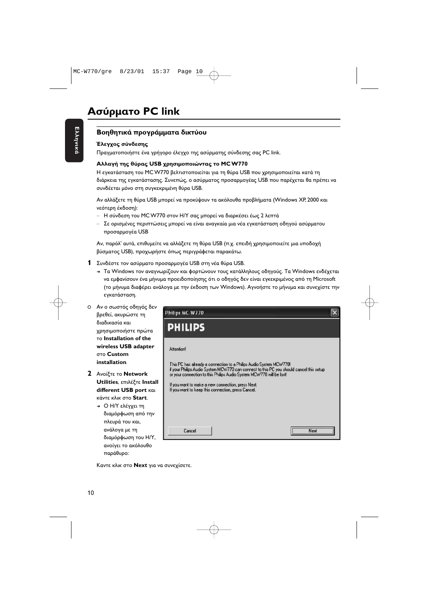#### **Βοηθητικά προγράμματα δικτύου**

#### Έλεγχος σύνδεσης

Πραγματοποιήστε ένα γρήγορο έλεγχο της ασύρματης σύνδεσης σας PC link.

#### Αλλαγή της θύρας USB χρησιμοποιώντας το MC W770

Η εγκατάσταση του MC W770 βελτιστοποιείται για τη θύρα USB που χρησιμοποιείται κατά τη διάρκεια της εγκατάστασης. Συνεπώς, ο ασύρματος προσαρμογέας USB που παρέχεται θα πρέπει να συνδέεται μόνο στη συγκεκριμένη θύρα USB.

Αν αλλάξετε τη θύρα USB μπορεί να προκύψουν τα ακόλουθα προβλήματα (Windows XP, 2000 και νεότερη έκδοση):

- Η σύνδεση του MC W770 στον Η/Υ σας μπορεί να διαρκέσει έως 2 λεπτά
- Σε ορισμένες περιπτώσεις μπορεί να είναι αναγκαία μια νέα εγκατάσταση οδηγού ασύρματου προσαρμογέα USB

Αν, παρόλ' αυτά, επιθυμείτε να αλλάξετε τη θύρα USB (π.χ. επειδή χρησιμοποιείτε μια υποδοχή βύσματος USB), προχωρήστε όπως περιγράφεται παρακάτω.

- **1** Συνδέστε τον ασύρματο προσαρμογέα USB στη νέα θύρα USB.
	- → Τα Windows τον αναγνωρίζουν και φορτώνουν τους κατάλληλους οδηγούς. Τα Windows ενδέχεται να εμφανίσουν ένα μήνυμα προειδοποίησης ότι ο οδηγός δεν είναι εγκεκριμένος από τη Microsoft (το μήνυμα διαφέρει ανάλογα με την έκδοση των Windows). Αγνοήστε το μήνυμα και συνεχίστε την εγκατάσταση.
- Ο Αν ο σωστός οδηγός δεν βρεθεί, ακυρώστε τη διαδικασία και χρησιμοποιήστε πρώτα **Installation of the wireless USB adapter Custom installation**.
- **2** Ανοίξτε το **Network Utilities**, επιλέξτε Install **different USB port** κάντε κλικ στο **Start**.
	- → Ο Η/Υ ελέγχει τη διαμόρφωση από την πλευρά του και, ανάλογα με τη διαμόρφωση του Η/Υ, ανοίγει το ακόλουθο παράθυρο:

| Philips MC-W770                                                                                                                                                                                                                       |  |
|---------------------------------------------------------------------------------------------------------------------------------------------------------------------------------------------------------------------------------------|--|
| <b>PHILIPS</b>                                                                                                                                                                                                                        |  |
| <b>Attention!</b>                                                                                                                                                                                                                     |  |
| This PC has already a connection to a Philips Audio System MCW770!<br>if your Philips Audio System MCW770 can connect to this PC you should cancel this setup<br>or your connection to this Philips Audio System MCW770 will be lost! |  |
| If you want to make a new connection, press Next.<br>If you want to keep this connection, press Cancel.                                                                                                                               |  |
|                                                                                                                                                                                                                                       |  |
| Cancel<br>Next                                                                                                                                                                                                                        |  |
|                                                                                                                                                                                                                                       |  |

Καντε κλικ στο **Next** για να συνεχίσετε.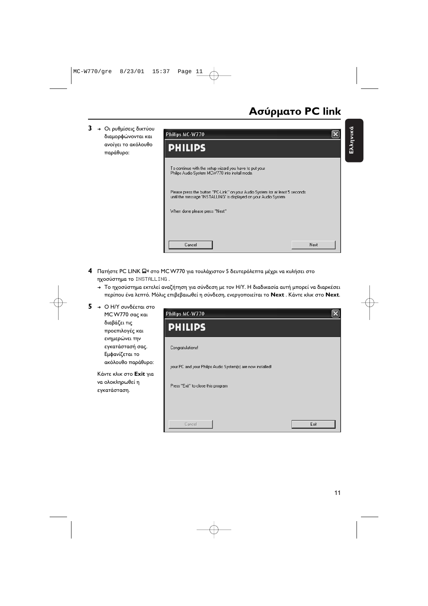Ελληνικά Ελληνικά

**3** → Οι ρυθμίσεις δικτύου διαμορφώνονται και ανοίγει το ακόλουθο παράθυρο:



- **4** Πατήστε PC LINK Ω<sup>η</sup> στο MC W770 για τουλάχιστον 5 δευτερόλεπτα μέχρι να κυλήσει στο ηχοσύστημα το INSTALLING .
	- → Το ηχοσύστημα εκτελεί αναζήτηση για σύνδεση με τον Η/Υ. Η διαδικασία αυτή μπορεί να διαρκέσει περίπου ένα λεπτό. Μόλις επιβεβαιωθεί η σύνδεση, ενεργοποιείται το **Next** . Κάντε κλικ στο **Next**.

| 5. | → Ο Η/Υ συνδέεται στο<br>MC W770 σας και                           | Philips MC-W770                                             |      |
|----|--------------------------------------------------------------------|-------------------------------------------------------------|------|
|    | διαβάζει τις<br>προεπιλογές και                                    | <b>PHILIPS</b>                                              |      |
|    | ενημερώνει την<br>εγκατάστασή σας.<br>Εμφανίζεται το               | Congratulations!                                            |      |
|    | ακόλουθο παράθυρο:                                                 | your PC and your Philips Audio System(s) are now installed! |      |
|    | Κάντε κλικ στο <b>Exit</b> για<br>να ολοκληρωθεί η<br>εγκατάσταση. | Press "Exit" to close this program                          |      |
|    |                                                                    |                                                             |      |
|    |                                                                    | Cancel                                                      | Exit |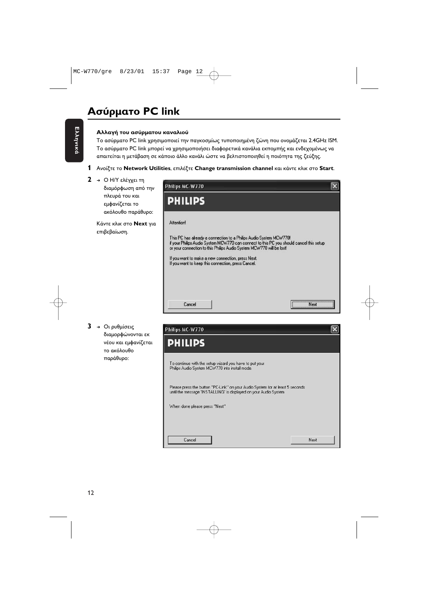### **Ασύρματο PC link**

#### **Αλλαγή του ασύρματου καναλιού**

Το ασύρματο PC link χρησιμοποιεί την παγκοσμίως τυποποιημένη ζώνη που ονομάζεται 2.4GHz ISM. Το ασύρματο PC link μπορεί να χρησιμοποιήσει διαφορετικά κανάλια εκπομπής και ενδεχομένως να απαιτείται η μετάβαση σε κάποιο άλλο κανάλι ώστε να βελτιστοποιηθεί η ποιότητα της ζεύξης.

- **1** Ανοίξτε το **Network Utilities**, επιλέξτε Change transmission channel και κάντε κλικ στο Start.
- **2** → Ο Η/Υ ελέγχει τη

διαμόρφωση από την πλευρά του και εμφανίζεται το ακόλουθο παράθυρο:

Κάντε κλικ στο **Next** για επιβεβαίωση.



**3** → Οι ρυθμίσεις διαμορφώνονται εκ νέου και εμφανίζεται το ακόλουθο παράθυρο:

| Philips MC-W770                                                                                                                                   |      |
|---------------------------------------------------------------------------------------------------------------------------------------------------|------|
| <b>PHILIPS</b>                                                                                                                                    |      |
| To continue with the setup wizard you have to put your<br>Philips Audio System MCW770 into install mode.                                          |      |
| Please press the button "PC-Link" on your Audio System for at least 5 seconds<br>until the message 'INSTALLING' is displayed on your Audio System |      |
| When done please press "Next"                                                                                                                     |      |
|                                                                                                                                                   |      |
|                                                                                                                                                   |      |
| Cancel                                                                                                                                            | Next |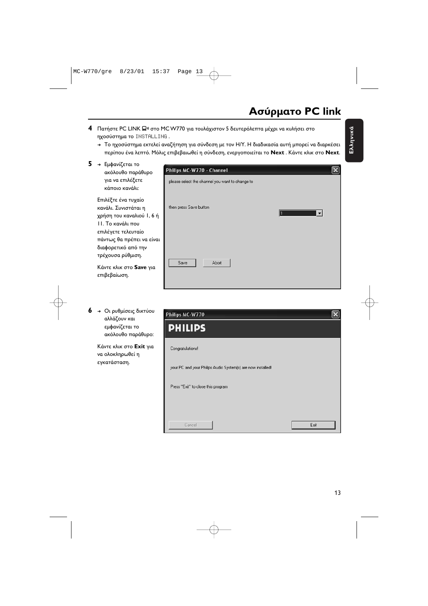**4** Πατήστε PC LINK Ω<sup>η</sup> στο MC W770 για τουλάχιστον 5 δευτερόλεπτα μέχρι να κυλήσει στο ηχοσύστημα το INSTALLING .

Philips MC-W770 - Channel

- → Το ηχοσύστημα εκτελεί αναζήτηση για σύνδεση με τον Η/Υ. Η διαδικασία αυτή μπορεί να διαρκέσει περίπου ένα λεπτό. Μόλις επιβεβαιωθεί η σύνδεση, ενεργοποιείται το **Next** . Κάντε κλικ στο **Next**.
- **5** → Εμφανίζεται το ακόλουθο παράθυρο για να επιλέξετε κάποιο κανάλι:

Επιλέξτε ένα τυχαίο κανάλι. Συνιστάται η χρήση του καναλιού Ι, 6 ή 11. Το κανάλι που επιλέγετε τελευταίο πάντως θα πρέπει να είναι διαφορετικό από την τρέχουσα ρύθμιση.

Κάντε κλικ στο **Save** για επιβεβαίωση.

**6** → Οι ρυθμίσεις δικτύου αλλάζουν και εμφανίζεται το ακόλουθο παράθυρο:

> Κάντε κλικ στο **Exit** για να ολοκληρωθεί η εγκατάσταση.

| please select the channel you want to change to |                          |
|-------------------------------------------------|--------------------------|
| then press Save button                          | $\overline{\phantom{a}}$ |
| Save<br>Abort                                   |                          |
|                                                 |                          |
| Philips MC-W770                                 |                          |
| <b>PHILIPS</b>                                  |                          |
| Congress designal                               |                          |



 $\overline{\mathsf{x}}$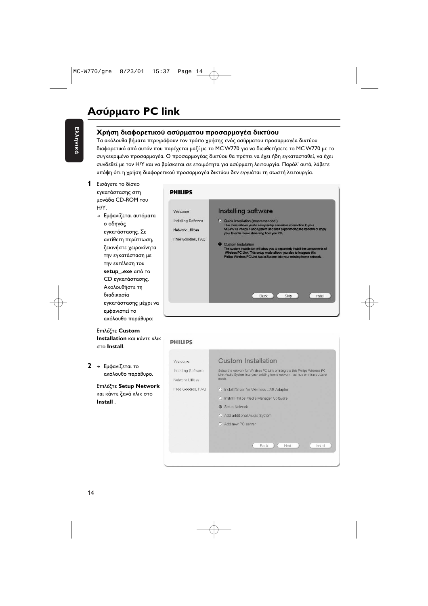#### **Χ**ρήση διαφορετικού ασύρματου προσαρμογέα δικτύου

Τα ακόλουθα βήματα περιγράφουν τον τρόπο χρήσης ενός ασύρματου προσαρμογέα δικτύου διαφορετικό από αυτόν που παρέχεται μαζί με το MC W770 για να διευθετήσετε το MC W770 με το συγκεκριμένο προσαρμογέα. Ο προσαρμογέας δικτύου θα πρέπει να έχει ήδη εγκατασταθεί, να έχει συνδεθεί με τον Η/Υ και να βρίσκεται σε ετοιμότητα για ασύρματη λειτουργία. Παρόλ' αυτά, λάβετε υπόψη ότι η χρήση διαφορετικού προσαρμογέα δικτύου δεν εγγυάται τη σωστή λειτουργία.

- **1** Εισάγετε το δίσκο εγκατάστασης στη μονάδα CD-ROM του  $H/Y$ .
	- → Εμφανίζεται αυτόματα ο οδηγός εγκατάστασης. Σε αντίθετη περίπτωση, ξεκινήστε χειροκίνητα την εγκατάσταση με την εκτέλεση του **setup\_.exe** CD εγκατάστασης. Ακολουθήστε τη διαδικασία εγκατάστασης μέχρι να εμφανιστεί το ακόλουθο παράθυρο:

**Επιλέξτε Custom Installation** και κάντε κλικ **Install**.

**2 →** Εμφανίζεται το ακόλουθο παράθυρο.

> **Επιλέξτε Setup Network** και κάντε ξανά κλικ στο **Install** .

**DHILIDS** 

| Welcome                                                       | Installing software                                                                                                                                                                                                                                                                                                                                                                                                                                                                                  |
|---------------------------------------------------------------|------------------------------------------------------------------------------------------------------------------------------------------------------------------------------------------------------------------------------------------------------------------------------------------------------------------------------------------------------------------------------------------------------------------------------------------------------------------------------------------------------|
| Installing Software<br>Network Utilities<br>Free Goodies, FAQ | C Quick Installation (recommended)<br>This menu allows you to easily setup a wireless connection to your<br>MC-W770 Philips Audio System and start experiencing the benefits of enjoy<br>your favorite music streaming from you PC.<br><b>Custom Installation</b><br>The custom installation will allow you to separately install the components of<br>Wireless PC Link. This setup mode allows you also to integrate this<br>Philips Wireless PC Link Audio System into your existing home network. |
|                                                               | Back<br>Skip<br>Install                                                                                                                                                                                                                                                                                                                                                                                                                                                                              |

| Welcome             | Custom Installation                                                                                                                                          |
|---------------------|--------------------------------------------------------------------------------------------------------------------------------------------------------------|
|                     |                                                                                                                                                              |
| Installing Software | Setup the network for Wireless PC Link or integrate this Philips Wireless PC<br>Link Audio System into your existing home network - ad-hoc or infrastructure |
| Network Utilities   | mode.                                                                                                                                                        |
| Free Goodies, FAQ   | C Install Driver for Wireless USB Adapter                                                                                                                    |
|                     | C Install Philips Media Manager Software                                                                                                                     |
|                     | Setup Network<br>⋒                                                                                                                                           |
|                     | O Add additional Audio System                                                                                                                                |
|                     | C Add new PC server                                                                                                                                          |
|                     |                                                                                                                                                              |
|                     |                                                                                                                                                              |
|                     | Next<br>Back<br>Install                                                                                                                                      |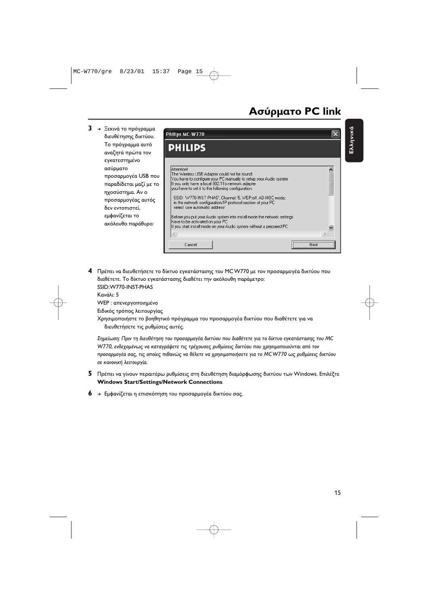Ελληνικά

Ελληνικά

- **3 →** Ξεκινά το πρόγραμμα Philips MC-W770 διευθέτησης δικτύου. Το πρόγραμμα αυτό **PHILIPS** αναζητά πρώτα τον εγκατεστημένο Attention ασύρματο  $\overline{\phantom{a}}$ The Wireless USB Adapter could not be found! προσαρμογέα USB που You have to configure your PC manually to setup your Audio system If you only have a local 802.11b network adapter παραδίδεται μαζί με το you have to set it to the following configuration: ηχοσύστημα. Αν ο SSID: 'W770-INST-PHAS', Channel: 5, WEP:off, AD-HOC mode; προσαρμογέας αυτός in the network configuration/IP protocol section of your PC select 'use automatic address' δεν εντοπιστεί, εμφανίζεται το Before you put your Audio system into install mode the network settings have to be activated on your PC ακόλουθο παράθυρο: If you start install mode on your Audio system without a prepared PC  $\,$  $\epsilon$ Next Cancel
- **4** Πρέπει να διευθετήσετε το δίκτυο εγκατάστασης του MCW770 με τον προσαρμογέα δικτύου που διαθέτετε. Το δίκτυο εγκατάστασης διαθέτει την ακόλουθη παράμετρο: SSID:W770-INST-PHAS Kανάλι<sup>,</sup> 5 WEP : απενεργοποιημένο

Ειδικός τρόπος λειτουργίας

Χρησιμοποιήστε το βοηθητικό πρόγραμμα του προσαρμογέα δικτύου που διαθέτετε για να διευθετήσετε τις ρυθμίσεις αυτές.

Σημείωση: Πριν τη διευθέτηση του προσαρμογέα δικτύου που διαθέτετε για το δίκτυο εγκατάστασης του MC W770, ενδεχομένως να καταγράψετε τις τρέχουσες ρυθμίσεις δικτύου που χρησιμοποιούνται από τον προσαρμογέα σας, τις οποίες πιθανώς να θέλετε να χρησιμοποιήσετε για το MCW770 ως ρυθμίσεις δικτύου σε κανονική λειτουργία.

- **5** Πρέπει να γίνουν περαιτέρω ρυθμίσεις στη διευθέτηση διαμόρφωσης δικτύου των Windows. Επιλέξτε **Windows Start/Settings/Network Connections**.
- **6** → Εμφανίζεται η επισκόπηση του προσαρμογέα δικτύου σας.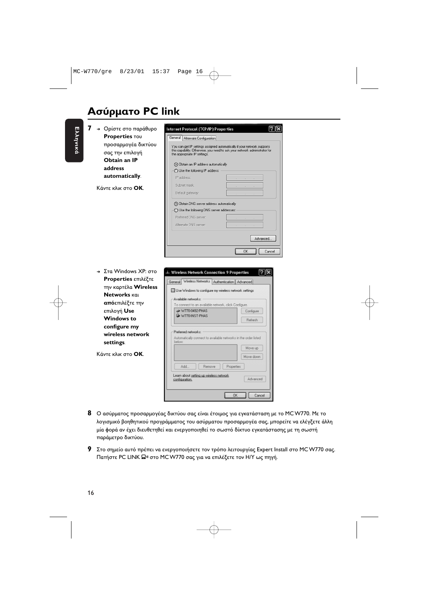### **Ασύρματο PC link**



- $\, {\bf 8} \,$  Ο ασύρματος προσαρμογέας δικτύου σας είναι έτοιμος για εγκατάσταση με το MC W770. Με το λογισμικό βοηθητικού προγράμματος του ασύρματου προσαρμογέα σας, μπορείτε να ελέγξετε άλλη μία φορά αν έχει διευθετηθεί και ενεργοποιηθεί το σωστό δίκτυο εγκατάστασης με τη σωστή παράμετρο δικτύου.
- **9** Στο σημείο αυτό πρέπει να ενεργοποιήσετε τον τρόπο λειτουργίας Expert Install στο MC W770 σας. Πατήστε PC LINK 口<mark>» στο MC W770 σας για να επιλέξετε τον</mark> Η/Υ ως πηγή.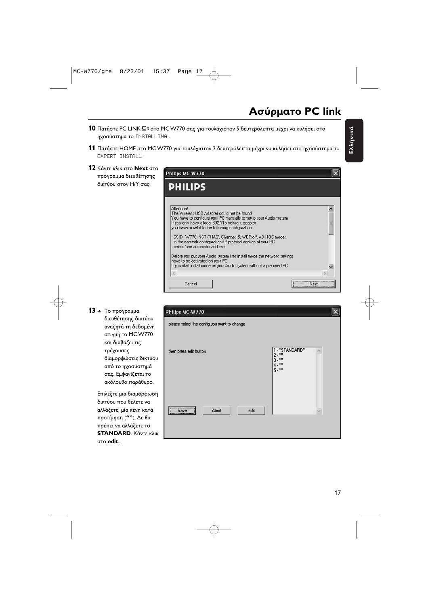- **10** Πατήστε PC LINK Ω<sup>η</sup> στο MC W770 σας για τουλάχιστον 5 δευτερόλεπτα μέχρι να κυλήσει στο ηχοσύστημα το INSTALLING .
- **11** Πατήστε HOME στο MC W770 για τουλάχιστον 2 δευτερόλεπτα μέχρι να κυλήσει στο ηχοσύστημα το EXPERT INSTALL .
- **12** Κάντε κλικ στο **Next** στο πρόγραμμα διευθέτησης δικτύου στον Η/Υ σας.

| Philips MC-W770                                                                                                                                                                                                                                                                                                                                                                                        |  |
|--------------------------------------------------------------------------------------------------------------------------------------------------------------------------------------------------------------------------------------------------------------------------------------------------------------------------------------------------------------------------------------------------------|--|
| <b>PHILIPS</b>                                                                                                                                                                                                                                                                                                                                                                                         |  |
| Attention!<br>The Wireless USB Adapter could not be found!<br>You have to configure your PC manually to setup your Audio system<br>If you only have a local 802.11b network adapter<br>you have to set it to the following configuration:<br>SSID: W770-INST-PHAS', Channel: 5, WEP:off, AD-HOC mode;<br>in the network configuration/IP protocol section of your PC<br>select 'use automatic address' |  |
| Before you put your Audio system into install mode the network settings<br>have to be activated on your PC<br>If you start install mode on your Audio system without a prepared PC                                                                                                                                                                                                                     |  |
| Cancel                                                                                                                                                                                                                                                                                                                                                                                                 |  |

 $13 \rightarrow$  To πρόγραμμα

διευθέτησης δικτύου αναζητά τη δεδομένη στιγμή το MC W770 και διαβάζει τις τρέχουσες διαμορφώσεις δικτύου από το ηχοσύστημά σας. Εμφανίζεται το ακόλουθο παράθυρο.

Επιλέξτε μια διαμόρφωση δικτύου που θέλετε να αλλάξετε, μία κενή κατά προτίμηση (**''''**). Δε θα πρέπει να αλλάξετε το **STANDARD**. Κάντε κλικ **edit**..

| Philips MC-W770                             |                                                       |              |
|---------------------------------------------|-------------------------------------------------------|--------------|
| please select the config you want to change |                                                       |              |
| then press edit button                      | 1-"STANDARD"<br>$2 - 11$<br>$3 - m$<br>4.""<br>$5 - $ |              |
| Save<br>Abort<br>edit<br>                   |                                                       | $\checkmark$ |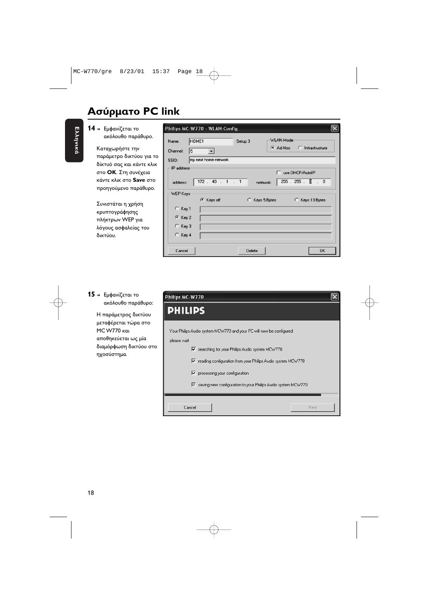### **Ασύρματο PC link**

- Ελληνικά Ελληνικά
- **14 →** Εμφανίζεται το ακόλουθο παράθυρο.

Καταχωρήστε την παράμετρο δικτύου για το δίκτυό σας και κάντε κλικ στο **ΟΚ**. Στη συνέχεια κάντε κλικ στο **Save** στο προηγούμενο παράθυρο.

Συνιστάται η χρήση κρυπτογράφησης πλήκτρων WEP για λόγους ασφαλείας του δικτύου.

|                         | Philips MC-W770 - WLAN-Config                                        |
|-------------------------|----------------------------------------------------------------------|
| Name:<br>Channel:<br>15 | WLAN-Mode<br>HOME <sub>1</sub><br>Setup 3<br>Ad-Hoc C Infrastructure |
| SSID:                   | my next home network                                                 |
| IP address              | □ use DHCP/AutoIP                                                    |
| address:                | 172 . 40 . 1 . 1 netmask:<br>$255.255.$ [C . 0                       |
| WEP-Keys                | C Keys off<br>C Keys 5 Bytes C Keys 13 Bytes                         |
| $C$ Key 1               |                                                                      |
| G Key 2                 |                                                                      |
| $C$ Key 3               |                                                                      |
| C Key 4                 |                                                                      |
| Cancel                  | Delete<br><b>OK</b>                                                  |

#### **15 →** Εμφανίζεται το ακόλουθο παράθυρο:

Η παράμετρος δικτύου μεταφέρεται τώρα στο MC W770 Kai αποθηκεύεται ως μία διαμόρφωση δικτύου στο ηχοσύστημα.

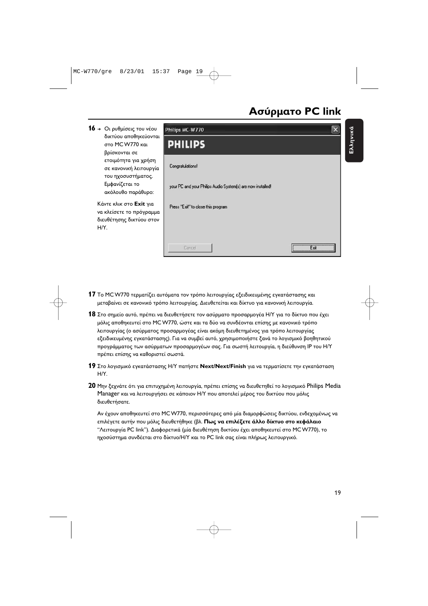### **!- PC link**

Ελληνικά

Ελληνικά



- **17** Το MCW770 τερματίζει αυτόματα τον τρόπο λειτουργίας εξειδικευμένης εγκατάστασης και μεταβαίνει σε κανονικό τρόπο λειτουργίας. Διευθετείται και δίκτυο για κανονική λειτουργία.
- **18** Στο σημείο αυτό, πρέπει να διευθετήσετε τον ασύρματο προσαρμογέα Η/Υ για το δίκτυο που έχει μόλις αποθηκευτεί στο MC W770, ώστε και τα δύο να συνδέονται επίσης με κανονικό τρόπο λειτουργίας (ο ασύρματος προσαρμογέας είναι ακόμη διευθετημένος για τρόπο λειτουργίας εξειδικευμένης εγκατάστασης). Για να συμβεί αυτό, χρησιμοποιήστε ξανά το λογισμικό βοηθητικού προγράμματος των ασύρματων προσαρμογέων σας. Για σωστή λειτουργία, η διεύθυνση IP του Η/Υ πρέπει επίσης να καθοριστεί σωστά.
- **19** Στο λογισμικό εγκατάστασης Η/Υ πατήστε **Next/Next/Finish** για να τερματίσετε την εγκατάσταση  $H/Y$ .
- **20** Μην ξεχνάτε ότι για επιτυχημένη λειτουργία, πρέπει επίσης να διευθετηθεί το λογισμικό Philips Media Manager και να λειτουργήσει σε κάποιον Η/Υ που αποτελεί μέρος του δικτύου που μόλις διευθετήσατε.

Αν έχουν αποθηκευτεί στο MC W770, περισσότερες από μία διαμορφώσεις δικτύου, ενδεχομένως να επιλέγετε αυτήν που μόλις διευθετήθηκε (βλ. **Πως να επιλέξετε άλλο δίκτυο στο κεφάλαιο** "Λειτουργία PC link"). Διαφορετικά (μία διευθέτηση δικτύου έχει αποθηκευτεί στο MC W770), το ηχοσύστημα συνδέεται στο δίκτυο/Η/Υ και το PC link σας είναι πλήρως λειτουργικό.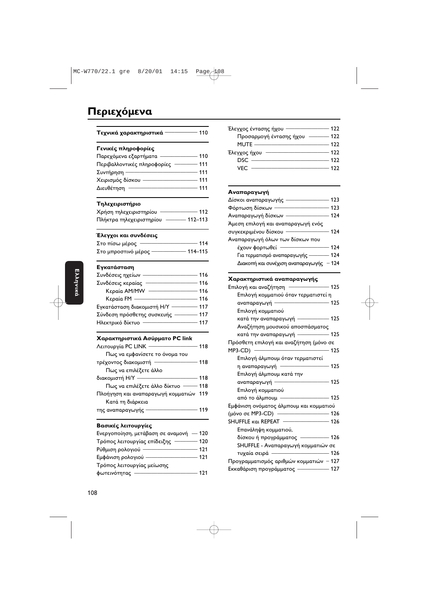### Περιεχόμενα

| Τεχνικά χαρακτηριστικά -                                            |       |
|---------------------------------------------------------------------|-------|
| Γενικές πληροφορίες                                                 |       |
|                                                                     |       |
| Περιβαλλοντικές πληροφορίες  ———— 111                               |       |
| $\overline{\phantom{1}}$ 111<br>Συντήρηση ——                        |       |
| .<br>Χειρισμός δίσκου —————————— 111                                |       |
|                                                                     |       |
| Τηλεχειριστήριο                                                     |       |
| Χρήση τηλεχειριστηρίου <sup>_____________</sup> 112                 |       |
| Πλήκτρα τηλεχειριστηρίου - 112-113                                  |       |
| Έλεγχοι και συνδέσεις                                               |       |
|                                                                     |       |
| -<br>Στο μπροστινό μέρος —————— 114–115                             |       |
| Εγκατάσταση                                                         |       |
|                                                                     |       |
|                                                                     |       |
|                                                                     |       |
|                                                                     |       |
| Εγκατάσταση διακομιστή Η/Υ ————— 117                                |       |
| Σύνδεση πρόσθετης συσκευής ———— 117                                 |       |
| Ηλεκτρικό δίκτυο <del>- - - - - - - - - - - - - - - - - -</del> 117 |       |
| Χαρακτηριστικά Ασύρματο PC link                                     |       |
| Λειτουργία PC LINK —————————— 118                                   |       |
| Πως να εμφανίσετε το όνομα του                                      |       |
| τρέχοντος διακομιστή <mark>————————</mark> 118                      |       |
| Πως να επιλέξετε άλλο                                               |       |
| $\overline{\phantom{1}}$ 118                                        |       |
| Πως να επιλέξετε άλλο δίκτυο ------ 118                             |       |
| Πλοήγηση και αναπαραγωγή κομματιών 119                              |       |
| Κατά τη διάρκεια                                                    |       |
| $\overline{\phantom{a}}$ 119<br>της αναπαραγωγής -                  |       |
| Βασικές λειτουργίες                                                 |       |
| Ενεργοποίηση, μετάβαση σε αναμονή - 120                             |       |
| Τρόπος λειτουργίας επίδειξης - 120                                  |       |
| Ρύθμιση ρολογιού - 121                                              |       |
| -<br>Εμφάνιση ρολογιού ——————————— 121                              |       |
| Τρόπος λειτουργίας μείωσης                                          |       |
|                                                                     | - 121 |

| Έλεγχος έντασης ήχου    | 122 |
|-------------------------|-----|
| Προσαρμογή έντασης ήχου | 122 |
| MUTE -                  | 122 |
| Έλεγχος ήχου            | 122 |
| DSC.                    | 122 |
| VFC                     | 177 |

#### Αναπαραγωγή

| Δίσκοι αναπαραγωγής                | 123    |
|------------------------------------|--------|
| Φόρτωση δίσκων                     | 123    |
| Αναπαραγωγή δίσκων                 | 174    |
| Άμεση επιλογή και αναπαραγωγή ενός |        |
| συγκεκριμένου δίσκου               | 124    |
| Αναπαραγωγή όλων των δίσκων που    |        |
| έχουν φορτωθεί                     | 174    |
| Για τερματισμό αναπαραγωγής        | 124    |
| Διακοπή και συνέχιση αναπαραγωγής  | $-124$ |

#### Χαρακτηριστικά αναπαραγωγής

| Επιλογή και αναζήτηση - 125                                   |  |
|---------------------------------------------------------------|--|
| Επιλογή κομματιού όταν τερματιστεί η                          |  |
| αναπαραγωγή - 125                                             |  |
| Επιλογή κομματιού                                             |  |
|                                                               |  |
| Αναζήτηση μουσικού αποσπάσματος                               |  |
| κατά την αναπαραγωγή ——————— 125                              |  |
| Πρόσθετη επιλογή και αναζήτηση (μόνο σε                       |  |
|                                                               |  |
| Επιλογή άλμπουμ όταν τερματιστεί                              |  |
| η αναπαραγωγή $\overline{\hspace{1.5cm}125}$                  |  |
| Επιλογή άλμπουμ κατά την                                      |  |
| aναπαραγωγή <del>- - - - - - - - - - - - - - - - - 1</del> 25 |  |
| Επιλογή κομματιού                                             |  |
| από το άλμπουμ ———————————— 125                               |  |
| Εμφάνιση ονόματος άλμπουμ και κομματιού                       |  |
| (μόνο σε MP3-CD) - 126                                        |  |
|                                                               |  |
| Επανάληψη κομματιού,                                          |  |
| δίσκου ή προγράμματος ————— 126                               |  |
| SHUFFLE - Αναπαραγωγή κομματιών σε                            |  |
| τυχαία σειρά - 126                                            |  |
| Προγραμματισμός αριθμών κομματιών – 127                       |  |
| Εκκαθάριση προγράμματος - 127                                 |  |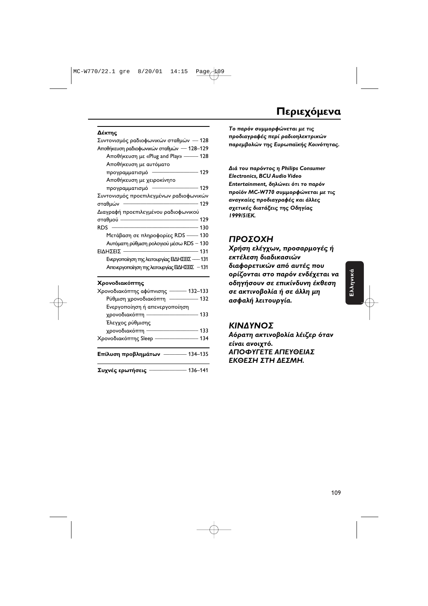#### Δέκτης

| Συντονισμός ραδιοφωνικών σταθμών — 128           |  |
|--------------------------------------------------|--|
| Αποθήκευση ραδιοφωνικών σταθμών - 128-129        |  |
| Αποθήκευση με «Plug and Play» - 128              |  |
| Αποθήκευση με αυτόματο                           |  |
| προγραμματισμό ———                               |  |
| Αποθήκευση με χειροκίνητο                        |  |
| προγραμματισμό <del>- - - - - - - - - 1</del> 29 |  |
| Συντονισμός προεπιλεγμένων ραδιοφωνικών          |  |
| —— 129<br>σταθμών                                |  |
| Διαγραφή προεπιλεγμένου ραδιοφωνικού             |  |
| $\frac{1}{2}$<br>σταθμού                         |  |
| RDS.                                             |  |
| Μετάβαση σε πληροφορίες RDS --- 130              |  |
| Αυτόματη ρύθμιση ρολογιού μέσω RDS - 130         |  |
| ΕΙΔΗΣΕΙΣ                                         |  |
| Ενεργοποίηση της λειτουργίας ΕΙΔΗΣΕΙΣ -- 131     |  |
| Απενεργοποίηση της λειτουργίας ΕΙΔΗΣΕΙΣ - 131    |  |
|                                                  |  |

#### **Χρονοδιακόπτης**

| Συχνές ερωτήσεις              | 136-141 |
|-------------------------------|---------|
| Επίλυση προβλημάτων           | 134-135 |
| Χρονοδιακόπτης Sleep          | - 134   |
| χρονοδιακόπτη –               | 133     |
| Έλεγχος ρύθμισης              |         |
| χρονοδιακόπτη -               | 133     |
| Ενεργοποίηση ή απενεργοποίηση |         |
| Ρύθμιση χρονοδιακόπτη         | 132     |
| Χρονοδιακόπτης αφύπνισης ———  | 132-133 |

**To παρόν συμμορφώνεται με τις προδιαγραφές περί ραδιοηλεκτρικώ**ν **παρεμβολών της Ευρωπαϊκής Κοινότητας.** 

Διά του παρόντος η Philips Consumer *Electronics, BCU Audio Video* **Entertainment, δηλώνει ότι το παρόν προϊόν MC-W770 συμμορφώνεται με τις** αναγκαίες προδιαγραφές και άλλες σχετικές διατάξεις της Οδηγίας **1999/5/.**

### **ΠΡΟΣΟΧΗ**

Χρήση ελέγχων, προσαρμογές ή εκτέλεση διαδικασιών διαφορετικών από αυτές που **ορίζονται στο παρόν ενδέχεται να** οδηγήσουν σε επικίνδυνη έκθεση σε ακτινοβολία ή σε άλλη μη **ασφαλή λειτουργία.** 

### *ΚΙΝΔΥΝΟΣ*

Αόρατη ακτινοβολία λέιζερ όταν είναι ανοιχτό. *ΑΠΟΦΥΓΕΤΕ ΑΠΕΥΘΕΙΑΣ* **ΕΚΘΕΣΗ ΣΤΗ ΔΕΣΜΗ.**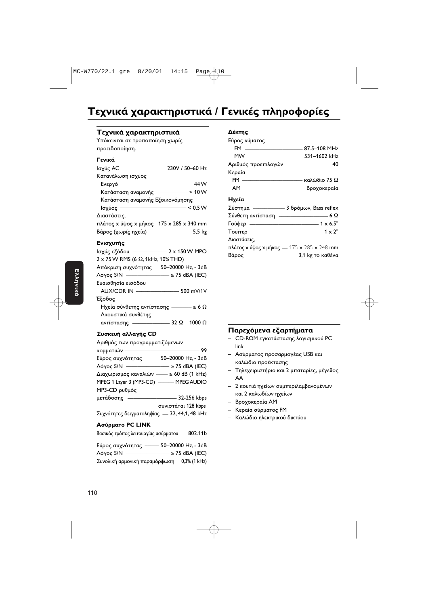### Τεχνικά χαρακτηριστικά / Γενικές πληροφορίες

#### Τεχνικά χαρακτηριστικά

Υπόκεινται σε τροποποίηση χωρίς προειδοποίηση.

#### **Γενικά**

| Ισχύς AC                                   | 230V / 50-60 Hz |
|--------------------------------------------|-----------------|
| Κατανάλωση ισχύος                          |                 |
| Ενεργό                                     | 44 W            |
| Κατάσταση αναμονής ——————— < 10 W          |                 |
| Κατάσταση αναμονής Εξοικονόμησης           |                 |
| Ισχύος -                                   | < 0.5 W         |
| Διαστάσεις,                                |                 |
| πλάτος x ύψος x μήκος   175 x 285 x 340 mm |                 |
| Βάρος (χωρίς ηχεία) –                      | $5,5$ kg        |

#### Ενισχυτής

| lσχύς εξόδου - 2 x 150 W MPO                           |  |
|--------------------------------------------------------|--|
| $2 \times 75$ W RMS (6 $\Omega$ , 1kHz, 10% THD)       |  |
| Απόκριση συχνότητας — 50–20000 Hz, - 3dB               |  |
| $\Lambda$ όγος S/N $\_\_\_\_\_\_\_\_\_$ ≥ 75 dBA (IEC) |  |
| Ευαισθησία εισόδου                                     |  |
| AUX/CDR IN <u>_____________________</u> 500 mV/1V      |  |
| Έξοδος                                                 |  |
| Hχεία σύνθετης αντίστασης ———— ≥ 6 Ω                   |  |
| Ακουστικά συνθέτης                                     |  |
|                                                        |  |
|                                                        |  |

#### Συσκευή αλλαγής CD

| Αριθμός των προγραμματιζόμενων               |                     |
|----------------------------------------------|---------------------|
| κομματιών —                                  | 99                  |
| Εύρος συχνότητας - 50-20000 Hz, - 3dB        |                     |
| $Λόγος$ S/N $\longrightarrow$ 275 dBA (IEC)  |                     |
| Διαχωρισμός καναλιών - ≥ 60 dB (1 kHz)       |                     |
| MPEG 1 Layer 3 (MP3-CD) - MPEG AUDIO         |                     |
| MP3-CD ρυθμός                                |                     |
| μετάδοσης ——                                 |                     |
|                                              | συνιστάται 128 kbps |
| Συχνότητες δειγματοληψίας - 32, 44,1, 48 kHz |                     |
|                                              |                     |

#### **PC LINK**

|  |  |  |  | Βασικός τρόπος λειτουργίας ασύρματου - 802.11b |
|--|--|--|--|------------------------------------------------|
|--|--|--|--|------------------------------------------------|

| Εύρος συχνότητας                             | 50-20000 Hz, - 3dB          |
|----------------------------------------------|-----------------------------|
| $\Lambda$ όγος S/N $\_\_\_\_\_\_\_\_\_\_\_$  | $\cdot$ $\geq$ 75 dBA (IEC) |
| Συνολική αρμονική παραμόρφωση - 0,3% (1 kHz) |                             |

#### **Δέκτης**

| Εύρος κύματος                                  |
|------------------------------------------------|
|                                                |
|                                                |
| Αριθμός προεπιλογών - 40                       |
| Κεραία                                         |
| FM $\frac{1}{2}$ καλώδιο 75 Ω                  |
| AM - Bροχοκεραία                               |
| Ηχεία                                          |
| Σύστημα - 3 δρόμων, Bass reflex                |
| Σύνθετη αντίσταση $\overline{\phantom{a}}$ 6 Ω |
| Γούφερ $\frac{1}{1}$ x 6.5"                    |
| Tουΐτερ - 1 x 2"                               |
| Διαστάσεις,                                    |
| πλάτος x ύψος x μήκος - 175 x 285 x 248 mm     |
|                                                |

#### **Παρεχόμενα εξαρτήματα**

- CD-ROM εγκατάστασης λογισμικού PC link
- Ασύρματος προσαρμογέας USB και καλώδιο προέκτασης
- Τηλεχειριστήριο και 2 μπαταρίες, μέγεθος AA
- 2 κουτιά ηχείων συμπεριλαμβανομένων και 2 καλωδίων ηχείων
- Βροχοκεραία ΑΜ
- Κεραία σύρματος FM
- Καλώδιο ηλεκτρικού δικτύου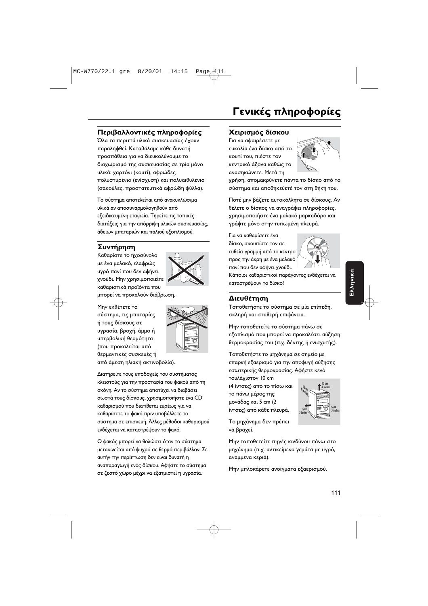### Περιβαλλοντικές πληροφορίες

Όλα τα περιττά υλικά συσκευασίας έχουν παραληφθεί. Καταβάλαμε κάθε δυνατή προσπάθεια για να διευκολύνουμε το διαχωρισμό της συσκευασίας σε τρία μόνο υλικά: χαρτόνι (κουτί), αφρώδες πολυστυρένιο (ενίσχυση) και πολυαιθυλένιο (σακούλες, προστατευτικά αφρώδη φύλλα).

Το σύστημα αποτελείται από ανακυκλώσιμα υλικά αν αποσυναρμολογηθούν από εξειδικευμένη εταιρεία. Τηρείτε τις τοπικές διατάξεις για την απόρριψη υλικών συσκευασίας, άδειων μπαταριών και παλιού εξοπλισμού.

### Συντήρηση

Καθαρίστε το ηχοσύνολο με ένα μαλακό, ελαφρώς υγρό πανί που δεν αφήνει χνούδι. Μην χρησιμοποιείτε καθαριστικά προϊόντα που

μπορεί να προκαλούν διάβρωση.

Μην εκθέτετε το σύστημα, τις μπαταρίες ή τους δίσκους σε υγρασία, βροχή, άμμο ή υπερβολική θερμότητα (που προκαλείται από θερμαντικές συσκευές ή από άμεση ηλιακή ακτινοβολία).



Διατηρείτε τους υποδοχείς του συστήματος κλειστούς για την προστασία του φακού από τη σκόνη. Αν το σύστημα αποτύχει να διαβάσει σωστά τους δίσκους, χρησιμοποιήστε ένα CD καθαρισμού που διατίθεται ευρέως για να καθαρίσετε το φακό πριν υποβάλλετε το σύστημα σε επισκευή. Άλλες μέθοδοι καθαρισμού ενδέχεται να καταστρέψουν το φακό.

Ο φακός μπορεί να θολώσει όταν το σύστημα μετακινείται από ψυχρό σε θερμό περιβάλλον. Σε αυτήν την περίπτωση δεν είναι δυνατή η αναπαραγωγή ενός δίσκου. Αφήστε το σύστημα σε ζεστό χώρο μέχρι να εξατμιστεί η υγρασία.

#### Χειρισμός δίσκου

Για να αφαιρέσετε με ευκολία ένα δίσκο από το κουτί του, πιέστε τον κεντρικό άξονα καθώς το ανασηκώνετε. Μετά τη



χρήση, απομακρύνετε πάντα το δίσκο από το σύστημα και αποθηκεύετέ τον στη θήκη του.

Ποτέ μην βάζετε αυτοκόλλητα σε δίσκους. Αν θέλετε ο δίσκος να αναγράφει πληροφορίες, χρησιμοποιήστε ένα μαλακό μαρκαδόρο και γράψτε μόνο στην τυπωμένη πλευρά.

Για να καθαρίσετε ένα δίσκο, σκουπίστε τον σε ευθεία γραμμή από το κέντρο προς την άκρη με ένα μαλακό πανί που δεν αφήνει χνούδι.



Κάποιοι καθαριστικοί παράγοντες ενδέχεται να καταστρέψουν το δίσκο!

#### Διευθέτηση

Τοποθετήστε το σύστημα σε μία επίπεδη, σκληρή και σταθερή επιφάνεια.

Μην τοποθετείτε το σύστημα πάνω σε εξοπλισμό που μπορεί να προκαλέσει αύξηση θερμοκρασίας του (π.χ. δέκτης ή ενισχυτής).

Τοποθετήστε το μηχάνημα σε σημείο με επαρκή εξαερισμό για την αποφυγή αύξησης εσωτερικής θερμοκρασίας. Αφήστε κενό τουλάχιστον 10 cm

(4 ίντσες) από το πίσω και το πάνω μέρος της μονάδας και 5 cm (2 ίντσες) από κάθε πλευρά.



Το μηχάνημα δεν πρέπει να βραχεί.

Μην τοποθετείτε πηγές κινδύνου πάνω στο μηχάνημα (π.χ. αντικείμενα γεμάτα με υγρό, αναμμένα κεριά).

Μην μπλοκάρετε ανοίγματα εξαερισμού.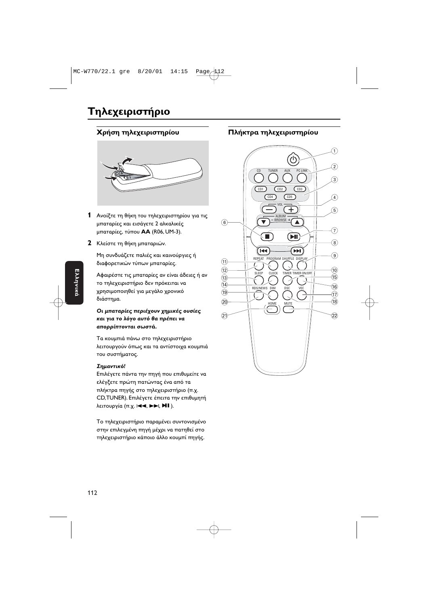### Τηλεχειριστήριο

#### **Χ**ρήση τηλεχειριστηρίου



- **1** Ανοίξτε τη θήκη του τηλεχειριστηρίου για τις μπαταρίες και εισάγετε 2 αλκαλικές μπαταρίες, τύπου **ΑΑ** (R06, UM-3).
- **2** Κλείστε τη θήκη μπαταριών.

Μη συνδυάζετε παλιές και καινούργιες ή διαφορετικών τύπων μπαταρίες.

Αφαιρέστε τις μπαταρίες αν είναι άδειες ή αν το τηλεχειριστήριο δεν πρόκειται να χρησιμοποιηθεί για μεγάλο χρονικό διάστημα.

#### Οι μπαταρίες περιέχουν χημικές ουσίες και για το λόγο αυτό θα πρέπει να **απορρίπτονται σωστά.**

Τα κουμπιά πάνω στο τηλεχειριστήριο λειτουργούν όπως και τα αντίστοιχα κουμπιά του συστήματος.

#### **Σημαντικό!**

Επιλέγετε πάντα την πηγή που επιθυμείτε να ελέγξετε πρώτη πατώντας ένα από τα πλήκτρα πηγής στο τηλεχειριστήριο (π.χ. CD,TUNER). Επιλέγετε έπειτα την επιθυμητή λειτουργία (π.χ. I**<I →, E→I, MI** ).

Το τηλεχειριστήριο παραμένει συντονισμένο στην επιλεγμένη πηγή μέχρι να πατηθεί στο τηλεχειριστήριο κάποιο άλλο κουμπί πηγής.

#### **Πλήκτρα τηλεχειριστηρίου**

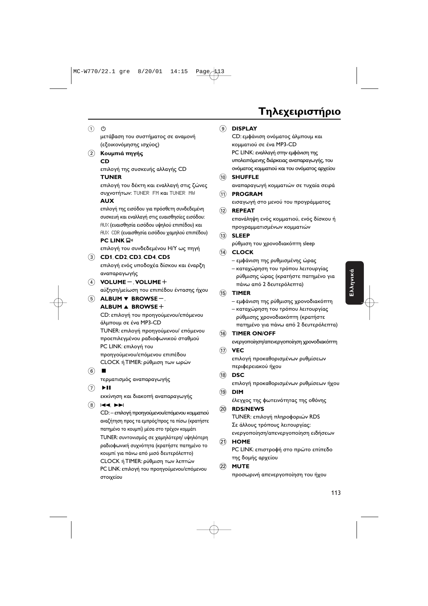## **Τηλεχειριστήριο**

#### $(1)$   $(2)$

μετάβαση του συστήματος σε αναμονή (εξοικονόμησης ισχύος)

#### **(2)** Κουμπιά πηγής **CD**

επιλογή της συσκευής αλλαγής CD

#### **TUNER**

επιλογή του δέκτη και εναλλαγή στις ζώνες συχνοτήτων: TUNER FM και TUNER MW

#### **AUX**

επιλογή της εισόδου για πρόσθετη συνδεδεμένη συσκευή και εναλλαγή στις ευαισθησίες εισόδου: <u>ΑUX (ευαισθησία εισόδου υψηλού επιπέδου) και</u> AUX .CDR (ευαισθησία εισόδου χαμηλού επιπέδου) **PC LINK**  $\Box$ 

επιλογή του συνδεδεμένου Η/Υ ως πηγή

#### 3 **CD1**, **CD2**, **CD3**, **CD4**, **CD5**

επιλογή ενός υποδοχέα δίσκου και έναρξη αναπαραγωγής

4 **VOLUME**-, **VOLUME**+

αύξηση/μείωση του επιπέδου έντασης ήχου

5 **ALBUM** ∞ **BROWSE**-, **ALBUM** 5 **BROWSE**+

CD: επιλογή του προηγούμενου/επόμενου άλμπουμ σε ένα MP3-CD TUNER: επιλογή προηγούμενου/ επόμενου

προεπιλεγμένου ραδιοφωνικού σταθμού PC LINK: επιλογή του προηγούμενου/επόμενου επιπέδου CLOCK ή TIMER: ρύθμιση των ωρών

 $\circ$ 

τερματισμός αναπαραγωγής

 $(7)$  FII

εκκίνηση και διακοπή αναπαραγωγής

 $\circledR$   $\vdash \blacktriangle$ 

CD: – επιλογή προηγούμενου/επόμενου κομματιού αναζήτηση προς τα εμπρός/προς τα πίσω (κρατήστε πατημένο το κουμπί) μέσα στο τρέχον κομμάτι TUNER: συντονισμός σε χαμηλότερη/ υψηλότερη ραδιοφωνική συχνότητα (κρατήστε πατημένο το κουμπί για πάνω από μισό δευτερόλεπτο) CLOCK ή TIMER: ρύθμιση των λεπτών PC LINK: επιλογή του προηγούμενου/επόμενου στοιχείου

#### 9 **DISPLAY**

CD: εμφάνιση ονόματος άλμπουμ και κομματιού σε ένα MP3-CD PC LINK: εναλλαγή στην εμφάνιση της υπολειπόμενης διάρκειας αναπαραγωγής, του ονόματος κομματιού και του ονόματος αρχείου

#### 0 **SHUFFLE**

αναπαραγωγή κομματιών σε τυχαία σειρά

#### ! **PROGRAM**

εισαγωγή στο μενού του προγράμματος

#### @ **REPEAT**

επανάληψη ενός κομματιού, ενός δίσκου ή προγραμματισμένων κομματιών

#### # **SLEEP**

ρύθμιση του χρονοδιακόπτη sleep

#### \$ **CLOCK**

– εμφάνιση της ρυθμισμένης ώρας

– καταχώρηση του τρόπου λειτουργίας ρύθμισης ώρας (κρατήστε πατημένο για πάνω από 2 δευτερόλεπτα)

#### % **TIMER**

- εμφάνιση της ρύθμισης χρονοδιακόπτη
- καταχώρηση του τρόπου λειτουργίας ρύθμισης χρονοδιακόπτη (κρατήστε πατημένο για πάνω από 2 δευτερόλεπτα)

#### $\sqrt{16}$  **TIMER ON/OFF**

ενεργοποίηση/απενεργοποίηση χρονοδιακόπτη

#### & **VEC**

επιλογή προκαθορισμένων ρυθμίσεων περιφερειακού ήχου

#### 18 **DSC**

επιλογή προκαθορισμένων ρυθμίσεων ήχου

#### ( **DIM**

έλεγχος της φωτεινότητας της οθόνης

#### ) **RDS/NEWS**

TUNER: επιλογή πληροφοριών RDS Σε άλλους τρόπους λειτουργίας: ενεργοποίηση/απενεργοποίηση ειδήσεων

#### ¡ **HOME**

PC LINK: επιστροφή στο πρώτο επίπεδο της δομής αρχείου

#### ™ **MUTE**

προσωρινή απενεργοποίηση του ήχου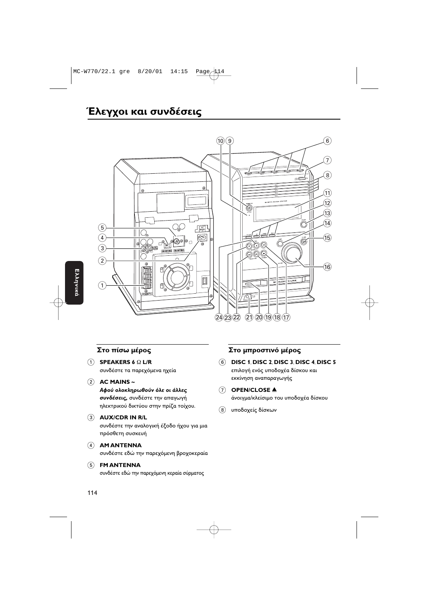### Έλεγχοι και συνδέσεις



#### Στο πίσω μέρος

- $(1)$  SPEAKERS 6  $\Omega$  L/R συνδέστε τα παρεχόμενα ηχεία
- $(2)$  AC MAINS ~

Αφού ολοκληρωθούν όλε οι άλλες συνδέσεις, συνδέστε την απαγωγή ηλεκτρικού δικτύου στην πρίζα τοίχου.

#### 3 AUX/CDR IN R/L

συνδέστε την αναλογική έξοδο ήχου για μια πρόσθετη συσκευή

#### 4 AM ANTENNA

συνδέστε εδώ την παρεχόμενη βροχοκεραία

#### (5) FM ANTENNA

συνδέστε εδώ την παρεχόμενη κεραία σύρματος

#### Στο μπροστινό μέρος

 $\circledcirc$  DISC 1, DISC 2, DISC 3, DISC 4, DISC 5 επιλογή ενός υποδοχέα δίσκου και εκκίνηση αναπαραγωγής

#### $(7)$  OPEN/CLOSE  $\blacktriangle$

άνοιγμα/κλείσιμο του υποδοχέα δίσκου

(8) υποδοχείς δίσκων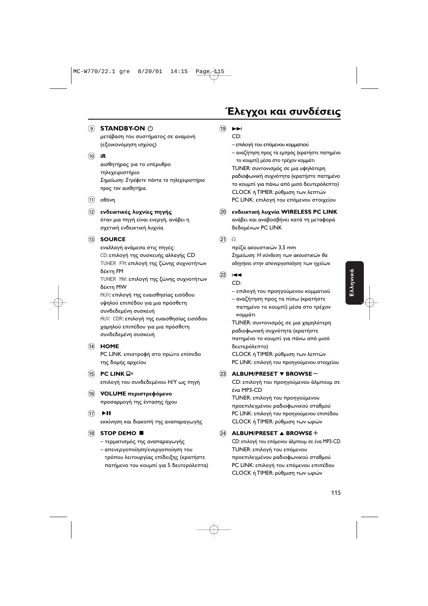(9) **STANDBY-ON** (<sup>1</sup>)

μετάβαση του συστήματος σε αναμονή (εξοικονόμηση ισχύος)

#### $\circledcirc$  iR

αισθητήρας για το υπέρυθρο τηλεχειριστήριο Σημείωση: Στρέφετε πάντα το τηλεχειριστήριο προς τον αισθητήρα.

 $(11)$  oθόνη

### (12) ενδεικτικές λυγνίες πηγής

όταν μια πηγή είναι ενεργή, ανάβει η σχετική ενδεικτική λυχνία

13 **SOURCE** 

εναλλαγή ανάμεσα στις πηγές: CD: επιλογή της συσκευής αλλαγής CD TUNER FM: επιλογή της ζώνης συχνοτήτων δέκτη FM

TUNER MW: επιλογή της ζώνης συχνοτήτων δέκτη MW RUX: επιλογή της ευαισθησίας εισόδου υψηλού επιπέδου για μια πρόσθετη συνδεδεμένη συσκευή RUX CDR: επιλογή της ευαισθησίας εισόδου χαμηλού επιπέδου για μια πρόσθετη

#### $(14)$  HOME

PC LINK: επιστροφή στο πρώτο επίπεδο της δομής αρχείου

15 PC LINK Q<sup>11</sup>

επιλογή του συνδεδεμένου Η/Υ ως πηγή

#### (16) **VOLUME** περιστρεφόμενο προσαρμογή της έντασης ήχου

συνδεδεμένη συσκευή

 $\overline{17}$   $\rightarrow$   $\overline{11}$ 

εκκίνηση και διακοπή της αναπαραγωγής

#### **18 STOP DEMO ■**

- τερματισμός της αναπαραγωγής
- απενεργοποίηση/ενεργοποίηση του τρόπου λειτουργίας επίδειξης (κρατήστε πατήμενο του κουμπί για 5 δευτερόλεπτα)

#### $(19)$   $\blacktriangleright\blacktriangleright$

 $CD:$ 

- επιλογή του επόμενου κομματιού
- αναζήτηση προς τα εμπρός (κρατήστε πατημένο το κουμπί) μέσα στο τρέγον κομμάτι **TUNER: συντονισμός σε μια υψηλότερη** ραδιοφωνική συχνότητα (κρατήστε πατημένο το κουμπί για πάνω από μισό δευτερόλεπτο) CLOCK ή TIMER: ρύθμιση των λεπτών ΡΟ LINK: επιλογή του επόμενου στοιχείου

#### ഐ ενδεικτική λυχνία WIRELESS PC LINK ανάβει και αναβοσβήνει κατά τη μεταφορά δεδομένων PC LINK

#### 

πρίζα ακουστικών 3,5 mm

Σημείωση: Η σύνδεση των ακουστικών θα οδηγήσει στην απενεργοποίηση των ηχείων.

#### $(22)$  $\blacktriangleleft$

#### $CD:$

- επιλογή του προηγούμενου κομματιού
- αναζήτηση προς τα πίσω (κρατήστε πατημένο το κουμπί) μέσα στο τρέχον κομμάτι

TUNER: συντονισμός σε μια χαμηλότερη ραδιοφωνική συχνότητα (κρατήστε πατημένο το κουμπί για πάνω από μισό δευτερόλεπτο)

CLOCK ή TIMER: ρύθμιση των λεπτών PC LINK: επιλογή του προηγούμενου στοιχείου

#### 23 ALBUM/PRESET ▼ BROWSE-

CD: επιλογή του προηγούμενου άλμπουμ σε ένα MP3-CD

**TUNER: επιλογή του προηγούμενου** προεπιλεγμένου ραδιοφωνικού σταθμού PC LINK: επιλογή του προηγούμενου επιπέδου CLOCK ή TIMER: ρύθμιση των ωρών

#### 24 ALBUM/PRESET ▲ BROWSE+

CD: επιλογή του επόμενου άλμπουμ σε ένα MP3-CD **TUNER: επιλογή του επόμενου** προεπιλεγμένου ραδιοφωνικού σταθμού PC LINK: επιλογή του επόμενου επιπέδου CLOCK ή TIMER: ρύθμιση των ωρών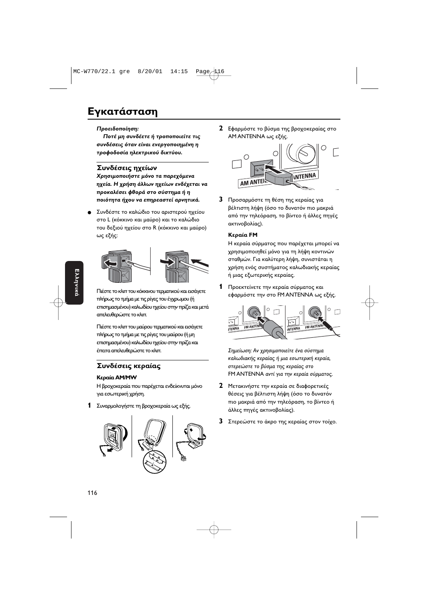### Εγκατάσταση

#### Προειδοποίηση:

Ποτέ μη συνδέετε ή τροποποιείτε τις συνδέσεις όταν είναι ενεργοποιημένη η τροφοδοσία ηλεκτρικού δικτύου.

#### Συνδέσεις ηχείων

Χρησιμοποιήστε μόνο τα παρεχόμενα ηχεία. Η χρήση άλλων ηχείων ενδέχεται να προκαλέσει φθορά στο σύστημα ή η ποιότητα ήχου να επηρεαστεί αρνητικά.

Συνδέστε το καλώδιο του αριστερού ηχείου στο L (κόκκινο και μαύρο) και το καλώδιο του δεξιού ηχείου στο R (κόκκινο και μαύρο) ως εξής:



Πιέστε το κλιπ του κόκκινου τερματικού και εισάγετε πλήρως το τμήμα με τις ρίγες του έγχρωμου (ή επισημασμένου) καλωδίου ηχείου στην πρίζα και μετά απελευθερώστε το κλιπ.

Πιέστε το κλιπ του μαύρου τερματικού και εισάγετε πλήρως το τμήμα με τις ρίγες του μαύρου (ή μη επισημασμένου) καλωδίου ηχείου στην πρίζα και έπειτα απελευθερώστε το κλιπ.

#### Συνδέσεις κεραίας

#### Κεραία AM/MW

Η βροχοκεραία που παρέχεται ενδείκνυται μόνο για εσωτερική χρήση.

Συναρμολογήστε τη βροχοκεραία ως εξής. 1



2 Εφαρμόστε το βύσμα της βροχοκεραίας στο AM ANTENNA ως εξής.



3 Προσαρμόστε τη θέση της κεραίας για βέλτιστη λήψη (όσο το δυνατόν πιο μακριά από την τηλεόραση, το βίντεο ή άλλες πηγές ακτινοβολίας).

#### Κεραία FM

Η κεραία σύρματος που παρέχεται μπορεί να χρησιμοποιηθεί μόνο για τη λήψη κοντινών σταθμών. Για καλύτερη λήψη, συνιστάται η χρήση ενός συστήματος καλωδιακής κεραίας ή μιας εξωτερικής κεραίας.

1 Προεκτείνετε την κεραία σύρματος και εφαρμόστε την στο FM ANTENNA ως εξής.



Σημείωση: Αν χρησιμοποιείτε ένα σύστημα καλωδιακής κεραίας ή μια εσωτερική κεραία, στερεώστε το βύσμα της κεραίας στο FM ANTENNA αντί για την κεραία σύρματος.

- 2 Μετακινήστε την κεραία σε διαφορετικές θέσεις για βέλτιστη λήψη (όσο το δυνατόν πιο μακριά από την τηλεόραση, το βίντεο ή άλλες πηγές ακτινοβολίας).
- 3 Στερεώστε το άκρο της κεραίας στον τοίχο.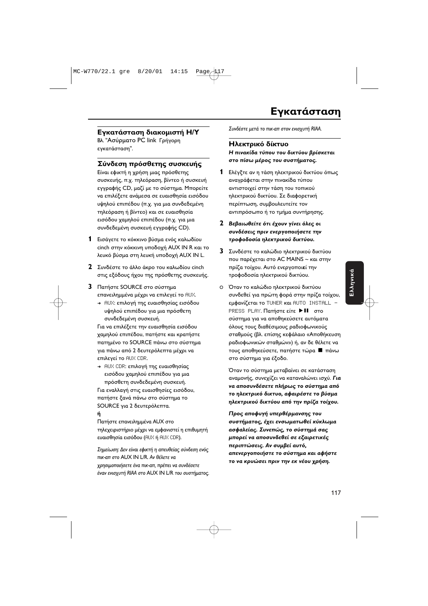#### Εγκατάσταση διακομιστή Η/Υ

Βλ. "Ασύρματο PC link Γρήγορη εγκατάσταση".

#### Σύνδεση πρόσθετης συσκευής

Είναι εφικτή η χρήση μιας πρόσθετης συσκευής, π.χ. τηλεόραση, βίντεο ή συσκευή εγγραφής CD, μαζί με το σύστημα. Μπορείτε να επιλέξετε ανάμεσα σε ευαισθησία εισόδου υψηλού επιπέδου (π.χ. για μια συνδεδεμένη τηλεόραση ή βίντεο) και σε ευαισθησία εισόδου χαμηλού επιπέδου (π.χ. για μια συνδεδεμένη συσκευή εγγραφής CD).

- 1 Εισάγετε το κόκκινο βύσμα ενός καλωδίου cinch στην κόκκινη υποδοχή AUX IN R και το λευκό βύσμα στη λευκή υποδοχή AUX IN L.
- 2 Συνδέστε το άλλο άκρο του καλωδίου cinch στις εξόδους ήχου της πρόσθετης συσκευής.
- 3 Πατήστε SOURCE στο σύστημα επανειλημμένα μέχρι να επιλεγεί το AUX.
	- → AUX: επιλογή της ευαισθησίας εισόδου υψηλού επιπέδου για μια πρόσθετη συνδεδεμένη συσκευή.

Για να επιλέξετε την ευαισθησία εισόδου χαμηλού επιπέδου, πατήστε και κρατήστε πατημένο το SOURCE πάνω στο σύστημα για πάνω από 2 δευτερόλεπτα μέχρι να επιλεγεί το AUX CDR.

→ AUX CDR: επιλογή της ευαισθησίας εισόδου χαμηλού επιπέδου για μια πρόσθετη συνδεδεμένη συσκευή.

Για εναλλαγή στις ευαισθησίες εισόδου, πατήστε ξανά πάνω στο σύστημα το SOURCE για 2 δευτερόλεπτα.

#### ń

Πατήστε επανειλημμένα AUX στο τηλεχειριστήριο μέχρι να εμφανιστεί η επιθυμητή ευαισθησία εισόδου (AUX ή AUX CDR).

Σημείωση: Δεν είναι εφικτή η απευθείας σύνδεση ενός πικ-απ στο AUX IN L/R. Αν θέλετε να χρησιμοποιήσετε ένα πικ-απ, πρέπει να συνδέσετε έναν ενισχυτή RIAA στο AUX IN L/R του συστήματος. Συνδέστε μετά το πικ-απ στον ενισχυτή RIAA.

#### Ηλεκτρικό δίκτυο

Η πινακίδα τύπου του δικτύου βρίσκεται στο πίσω μέρος του συστήματος.

- 1 Ελέγξτε αν η τάση ηλεκτρικού δικτύου όπως αναγράφεται στην πινακίδα τύπου αντιστοιχεί στην τάση του τοπικού ηλεκτρικού δικτύου. Σε διαφορετική περίπτωση, συμβουλευτείτε τον αντιπρόσωπο ή το τμήμα συντήρησης.
- 2 Βεβαιωθείτε ότι έχουν γίνει όλες οι συνδέσεις πριν ενεργοποιήσετε την τροφοδοσία ηλεκτρικού δικτύου.
- 3 Συνδέστε το καλώδιο ηλεκτρικού δικτύου που παρέχεται στο AC MAINS ~ και στην πρίζα τοίχου. Αυτό ενεργοποιεί την τροφοδοσία ηλεκτρικού δικτύου.
- Ο Όταν το καλώδιο ηλεκτρικού δικτύου συνδεθεί για πρώτη φορά στην πρίζα τοίχου, εμφανίζεται το TUNER και AUTO INSTALL · PRESS PLAY. Πατήστε είτε ▶ ΙΙ στο σύστημα για να αποθηκεύσετε αυτόματα όλους τους διαθέσιμους ραδιοφωνικούς σταθμούς (βλ. επίσης κεφάλαιο «Αποθήκευση ραδιοφωνικών σταθμών») ή, αν δε θέλετε να τους αποθηκεύσετε, πατήστε τώρα ■ πάνω στο σύστημα για έξοδο.

Όταν το σύστημα μεταβαίνει σε κατάσταση αναμονής, συνεχίζει να καταναλώνει ισχύ. Για να αποσυνδέσετε πλήρως το σύστημα από το ηλεκτρικό δικτυο, αφαιρέστε το βύσμα ηλεκτρικού δικτύου από την πρίζα τοίχου.

Προς αποφυγή υπερθέρμανσης του συστήματος, έχει ενσωματωθεί κύκλωμα ασφαλείας. Συνεπώς, το σύστημά σας μπορεί να αποσυνδεθεί σε εξαιρετικές περιπτώσεις. Αν συμβεί αυτό, απενεργοποιήστε το σύστημα και αφήστε το να κρυώσει πριν την εκ νέου χρήση.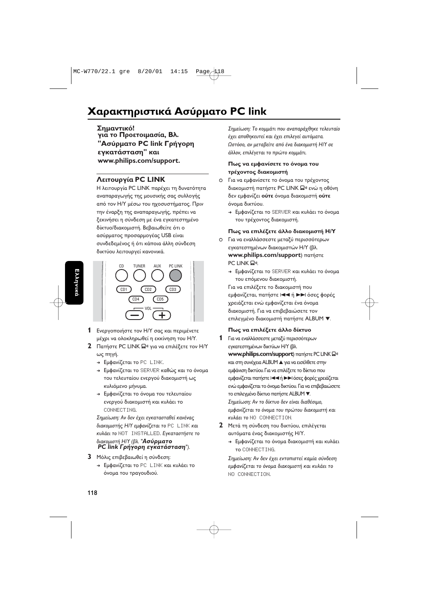### Χαρακτηριστικά Ασύρματο PC link

Σημαντικό! για το Προετοιμασία, Βλ. **"Ασύρματο PC link Γρήγορη** εγκατάσταση" και **www.philips.com/support.**

#### **Λειτουργία PC LINK**

Η λειτουργία PC LINK παρέχει τη δυνατότητα αναπαραγωγής της μουσικής σας συλλογής από τον Η/Υ μέσω του ηχοσυστήματος. Πριν την έναρξη της αναπαραγωγής, πρέπει να ξεκινήσει η σύνδεση με ένα εγκατεστημένο δίκτυο/διακομιστή. Βεβαιωθείτε ότι ο ασύρματος προσαρμογέας USB είναι συνδεδεμένος ή ότι κάποια άλλη σύνδεση δικτύου λειτουργεί κανονικά.



- **1** Ενεργοποιήστε τον Η/Υ σας και περιμένετε μέχρι να ολοκληρωθεί η εκκίνηση του Η/Υ.
- **2** PC LINK A "-  \$/%  $ω$ ς πηγή.
	- → Εμφανίζεται το PC LINK.
	- → Εμφανίζεται το SERUER καθώς και το όνομα του τελευταίου ενεργού διακομιστή ως κυλιόμενο μήνυμα.
	- → Εμφανίζεται το όνομα του τελευταίου ενεργού διακομιστή και κυλάει το CONNECTING.

Σημείωση: Αν δεν έχει εγκατασταθεί κανένας διακομιστής Η/Υ εμφανίζεται το PC LINK και κυλάει το NOT INSTALLED. Εγκαταστήστε το διακομιστή Η/Υ (βλ. "**Ασύρματο PC link Γρήγορη εγκατάσταση").** 

- **3** Μόλις επιβεβαιωθεί η σύνδεση:
	- → Εμφανίζεται το PC LINK και κυλάει το όνομα του τραγουδιού.

Σημείωση: Το κομμάτι που αναπαράχθηκε τελευταίο έχει αποθηκευτεί και έχει επιλεγεί αυτόματα. Ωστόσο, αν μεταβείτε από ένα διακομιστή Η/Υ σε άλλον, επιλέγεται το πρώτο κομμάτι.

#### Πως να εμφανίσετε το όνομα του τρέχοντος διακομιστή

- Ο Για να εμφανίσετε το όνομα του τρέχοντος διακομιστή πατήστε PC LINK Ω<sup>η</sup> ενώ η οθόνη δεν εμφανίζει **ούτε** όνομα διακομιστή **ούτε** όνομα δικτύου.
	- → Εμφανίζεται το SERUER και κυλάει το όνομα του τρέχοντος διακομιστή.

#### **Πως να επιλέξετε άλλο διακομιστή Η/Υ**

- Ο Για να εναλλάσσεστε μεταξύ περισσότερων εγκατεστημένων διακομιστών Η/Υ (βλ **www.philips.com/support**) πατήστε PC LINK Q<sup>.</sup>
	- → Εμφανίζεται το SERUER και κυλάει το όνομα του επόμενου διακομιστή.

Για να επιλέξετε το διακομιστή που εμφανίζεται, πατήστε Ι< τή >> όσες φορές χρειάζεται ενώ εμφανίζεται ένα όνομα διακομιστή. Για να επιβεβαιώσετε τον επιλεγμένο διακομιστή πατήστε ALBUM  $\blacktriangledown$ 

#### **Πως να επιλέξετε άλλο δίκτυο**

- **1** Για να εναλλάσσεστε μεταξύ περισσότερων εγκατεστημένων δικτύων Η/Υ (βλ **www.philips.com/support**) πατήστε PC LINK Ω και στη συνέχεια ALBUM A για να εισέλθετε στην εμφάνιση δικτύου. Για να επιλέξετε το δίκτυο που εμφανίζεται πατήστε |<< ή >> όσες φορές χρειάζεται ενώ εμφανίζεται το όνομα δικτύου. Για να επιβεβαιώσετε το επιλεγμένο δίκτυο πατήστε ALBUM <sup>•</sup> Σημείωση: Αν το δίκτυο δεν είναι διαθέσιμο, εμφανίζεται το όνομα του πρώτου διακομιστή και **κυλάει το NO CONNECTION.**
- **2** Μετά τη σύνδεση του δικτύου, επιλέγεται αυτόματα ένας διακομιστής Η/Υ.
	- → Εμφανίζεται το όνομα διακομιστή και κυλάει TO CONNECTING.

Σημείωση: Αν δεν έχει εντοπιστεί καμία σύνδεση εμφανίζεται το όνομα διακομιστή και κυλάει το NO CONNECTION.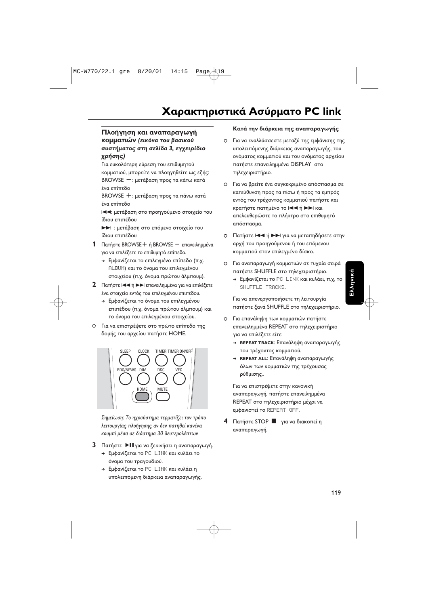#### Πλοήγηση και αναπαραγωγή **κομματιών** (εικόνα του βασικού συστήματος στη σελίδα 3, εγχειρίδιο *<u>xρήσης)</u>*

Για ευκολότερη εύρεση του επιθυμητού κομματιού, μπορείτε να πλοηγηθείτε ως εξής: BROWSE — : μετάβαση προς τα κάτω κατά ένα επίπεδο

BROWSE +: μετάβαση προς τα πάνω κατά ένα επίπεδο

l**≪ :** μετάβαση στο προηγούμενο στοιχείο του ίδιου επιπέδου

**>>** : μετάβαση στο επόμενο στοιχείο του ίδιου επιπέδου

- 1 Πατήστε BROWSE + ή BROWSE επανειλημμένα για να επιλέξετε το επιθυμητό επίπεδο.
	- → Εμφανίζεται το επιλεγμένο επίπεδο (π.χ. ALBUM) και το όνομα του επιλεγμένου στοιχείου (π.χ. όνομα πρώτου άλμπουμ).
- **2** Πατήστε Ι←← ή ▶▶ επανειλημμένα για να επιλέξετε ένα στοιχείο εντός του επιλεγμένου επιπέδου.
	- → Εμφανίζεται το όνομα του επιλεγμένου επιπέδου (π.χ. όνομα πρώτου άλμπουμ) και το όνομα του επιλεγμένου στοιχείου.
- Ο Για να επιστρέψετε στο πρώτο επίπεδο της δομής του αρχείου πατήστε HOME.



Σημείωση: Το ηχοσύστημα τερματίζει τον τρόπο λειτουργίας πλοήγησης αν δεν πατηθεί κανένα κουμπί μέσα σε διάστημα 30 δευτερολέπτων

- **3** Πατήστε DII για να ξεκινήσει η αναπαραγωγή.
	- → Εμφανίζεται το PC LINK και κυλάει το όνομα του τραγουδιού.
	- → Εμφανίζεται το PC LINK και κυλάει η υπολειπόμενη διάρκεια αναπαραγωγής.

#### Κατά την διάρκεια της αναπαραγωγής

- Ο Για να εναλλάσσεστε μεταξύ της εμφάνισης της υπολειπόμενης διάρκειας αναπαραγωγής, του ονόματος κομματιού και του ονόματος αρχείου πατήστε επανειλημμένα DISPLAY στο τηλεχειριστήριο.
- Ο Για να βρείτε ένα συγκεκριμένο απόσπασμα σε κατεύθυνση προς τα πίσω ή προς τα εμπρός εντός του τρέχοντος κομματιού πατήστε και κρατήστε πατημένο το Ι<ι ή ►►Ι και απελευθερώστε το πλήκτρο στο επιθυμητά απόσπασμα
- Ο Πατήστε Ι<< ή ►►Ι για να μεταπηδήσετε στην αρχή του προηγούμενου ή του επόμενου κομματιού στον επιλεγμένο δίσκο.
- Ο Για αναπαραγωγή κομματιών σε τυχαία σειρά πατήστε SHUFFLE στο τηλεχειριστήριο
	- → Εμφανίζεται το PC LINK και κυλάει, π.χ, το SHUFFLE TRACKS.

Για να απενεργοποιήσετε τη λειτουργία πατήστε ξανά SHUFFLE στο τηλεχειριστήριο.

- Ο  Για επανάληψη των κομματιών πατήστε επανειλημμένα REPEAT στο τηλεχειριστήριο για να επιλέξετε είτε:
	- → REPEAT TRACK: Επανάληψη αναπαραγωγής του τρέχοντος κομματιού.
	- → REPEAT ALL: Επανάληψη αναπαραγωγής όλων των κομματιών της τρέχουσας ρύθμισης..

Για να επιστρέψετε στην κανονική αναπαραγωγή, πατήστε επανειλημμένα REPEAT στο τηλεχειριστήριο μέχρι να εμφανιστεί το REPEAT OFF.

**4** Πατήστε STOP **Π** για να διακοπεί η αναπαραγωγή.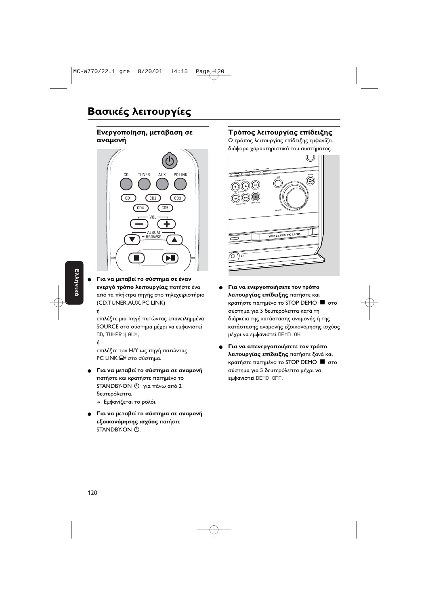#### **Ενεργοποίηση, μετάβαση σε** αναμονή



Για να μεταβεί το σύστημα σε έναν **ενεργό τρόπο λειτουργίας** πατήστε ένα από τα πλήκτρα πηγής στο τηλεχειριστήριο (CD,TUNER,AUX, PC LINK)

#### ń

επιλέξτε μια πηγή πατώντας επανειλημμένα SOURCE στο σύστημα μέχρι να εμφανιστεί CD, TUNER ή AUX,

ń

επιλέξτε τον Η/Υ ως πηγή πατώντας PC LINK Ω<mark>»</mark> στο σύστημα.

- **·** Για να μεταβεί το σύστημα σε αναμονή πατήστε και κρατήστε πατημένο το STANDBY-ON  $\bigcirc$  για πάνω από 2 δευτερόλεπτα.
	- → Εμφανίζεται το ρολόι.
- **Για να μεταβεί το σύστημα σε αναμονή εξοικονόμησης ισχύος** πατήστε STANDBY-ON (!).

#### **Τρόπος λειτουργίας επίδειξης**

Ο τρόπος λειτουργίας επίδειξης εμφανίζει διάφορα χαρακτηριστικά του συστήματος.



- **Για να ενεργοποιήσετε τον τρόπο λειτουργίας επίδειξης** πατήστε και κρατήστε πατημένο το STOP DEMO  $\blacksquare$  στο σύστημα για 5 δευτερόλεπτα κατά τη διάρκεια της κατάστασης αναμονής ή της κατάστασης αναμονής εξοικονόμησης ισχύος μέχρι να εμφανιστεί DEMO ON.
- Για να απενεργοποιήσετε τον τρόπο **λειτουργίας επίδειξης** πατήστε ξανά και κρατήστε πατημένο το STOP DEMO  $\blacksquare$  στο σύστημα για 5 δευτερόλεπτα μέχρι να εμφανιστεί DEMO OFF.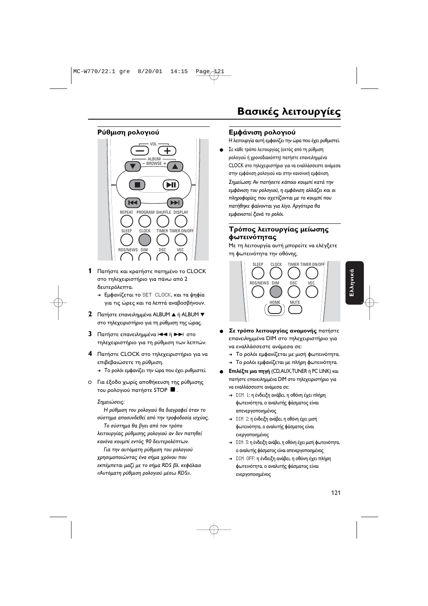#### Ρύθμιση ρολογιού



**1** Πατήστε και κρατήστε πατημένο το CLOCK στο τηλεχειριστήριο για πάνω από 2 δευτερόλεπτα.

- → Εμφανίζεται το SET CLOCK, και τα ψηφία για τις ώρες και τα λεπτά αναβοσβήνουν.
- **2** Πατήστε επανειλημμένα ALBUM ▲ ή ALBUM ▼ στο τηλεχειριστήριο για τη ρύθμιση της ώρας.
- **3** Πατήστε επανειλημμένα I<I<I ή DDI στο τηλεχειριστήριο για τη ρύθμιση των λεπτών.
- **4** Πατήστε CLOCK στο τηλεχειριστήριο για να επιβεβαιώσετε τη ρύθμιση.
	- → Το ρολόι εμφανίζει την ώρα που έχει ρυθμιστεί.
- Ο Για έξοδο χωρίς αποθήκευση της ρύθμισης του ρολογιού πατήστε STOP ■.

#### Σημειώσεις:

Η ρύθμιση του ρολογιού θα διαγραφεί όταν το σύστημα αποσυνδεθεί από την τροφοδοσία ισχύος.

Το σύστημα θα βγει από τον τρόπο λειτουργίας ρύθμισης ρολογιού αν δεν πατηθεί κανένα κουμπί εντός 90 δευτερολέπτων.

Για την αυτόματη ρύθμιση του ρολογιού χρησιμοποιώντας ένα σήμα χρόνου που εκπέμπεται μαζί με το σήμα RDS βλ. κεφάλαιο «Αυτόματη ρύθμιση ρολογιού μέσω RDS».

#### Εμφάνιση ρολογιού

Η λειτουργία αυτή εμφανίζει την ώρα που έχει ρυθμιστεί

● \_ Σε κάθε τρόπο λειτουργίας (εκτός από τη ρύθμιστ ρολογιου η χρονοοιακοπτη) πατηστε επανειλημμενο CLOCK στο τηλεχειριστηριο για να εναλλασσεστε αναμεσα στην εμφανιση ρολογιου και στην κανονικη εμφανιση

Σημείωση: Αν πατήσετε κάποιο κουμπί κατά την εμφάνιση του ρολογιού, η εμφάνιση αλλάζει και ο πληροφορίες που σχετίζονται με το κουμπί που πατήθηκε φαίνονται για λίγο. Αργότερα θα εμφανιστεί ξανά το ρολόι.

#### **Τρόπος λειτουργίας μείωσης** φωτεινότητας

Με τη λειτουργία αυτή μπορείτε να ελέγξετε τη φωτεινότητα την οθόνης.



- **e** Σε τρόπο λειτουργίας αναμονής πατήστε επανειλημμένα DIM στο τηλεχειριστήριο για να εναλλάσσεστε ανάμεσα σε:
	- → Το ρολόι εμφανίζεται με μισή φωτεινότητα.
	- $\rightarrow$  Το ρολόι εμφανίζεται με πλήρη φωτεινότητα
- **Επιλέξτε μια πηγή** (CD,AUX,TUNER ή PC LINK) και πατήστε επανειλημμένα DIM στο τηλεχειριστήριο για να εναλλάσσεστε ανάμεσα σε
	- → DIM 1: η ένδειξη ανάβει, η οθόνη έχει πλήρη φωτεινότητα, ο αναλυτής φάσματος είνα απενεργοποιημένος
	- → DIM 2: η ένδειξη ανάβει, η οθόνη έχει μισή φωτεινότητα, ο αναλυτής φάσματος είναι ενεργοποιημένος
	- → DIM 3: η ένδειξη ανάβει, η οθόνη έχει μισή φωτεινότητα ο αναλυτής φάσματος είναι απενεργοποιημένος
	- → DIM OFF: η ένδειξη ανάβει, η οθόνη έχει πλήρη φωτεινότητα, ο αναλυτής φάσματος είνα ενεργοποιημένος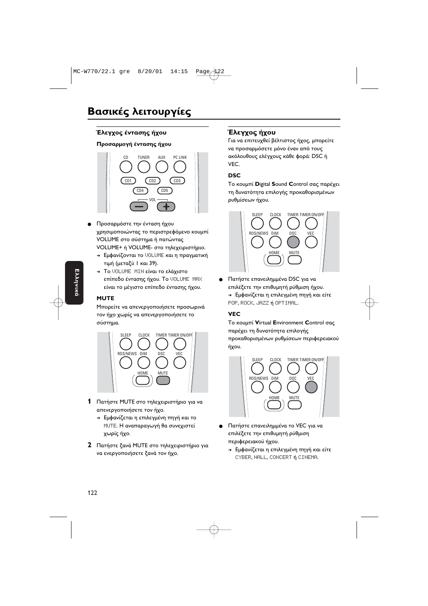#### Έλεγχος έντασης ήχου

#### Προσαρμογή έντασης ήχου



- Προσαρμόστε την ένταση ήχου χρησιμοποιώντας το περιστρεφόμενο κουμπί VOLUME στο σύστημα ή πατώντας VOLUME+ ή VOLUME- στο τηλεχειριστήριο.
	- → Εμφανίζονται το UOLUME και η πραγματική τιμή (μεταξύ | και 39).
	- > Το VOLUME MIN είναι το ελάχιστο επίπεδο έντασης ήχου. Το VOLUME MAX είναι το μέγιστο επίπεδο έντασης ήχου.

#### **MUTE**

Μπορείτε να απενεργοποιήσετε προσωρινά τον ήχο χωρίς να απενεργοποιήσετε το σύστημα.



- 1 Πατήστε MUTE στο τηλεχειριστήριο για να απενεργοποιήσετε τον ήχο.
	- + Εμφανίζεται η επιλεγμένη πηγή και το ΜUTE. Η αναπαραγωγή θα συνεχιστεί χωρίς ήχο.
- 2 Πατήστε ξανά MUTE στο τηλεχειριστήριο για να ενεργοποιήσετε ξανά τον ήχο.

#### Έλεγχος ήχου

Για να επιτευχθεί βέλτιστος ήχος, μπορείτε να προσαρμόσετε μόνο έναν από τους ακόλουθους ελέγχους κάθε φορά: DSC ή VEC.

#### **DSC**

Το κουμπί Digital Sound Control σας παρέχει τη δυνατότητα επιλογής προκαθορισμένων ρυθμίσεων ήχου.



Πατήστε επανειλημμένα DSC για να επιλέξετε την επιθυμητή ρύθμιση ήχου. → Εμφανίζεται η επιλεγμένη πηγή και είτε POP, ROCK, JAZZ ή OPTIMAL.

#### **VEC**

Το κουμπί Virtual Environment Control σας παρέχει τη δυνατότητα επιλογής προκαθορισμένων ρυθμίσεων περιφερειακού ήχου.



- Πατήστε επανειλημμένα το VEC για να επιλέξετε την επιθυμητή ρύθμιση περιφερειακού ήχου.
	- → Εμφανίζεται η επιλεγμένη πηγή και είτε CYBER, HALL, CONCERT ή CINEMA.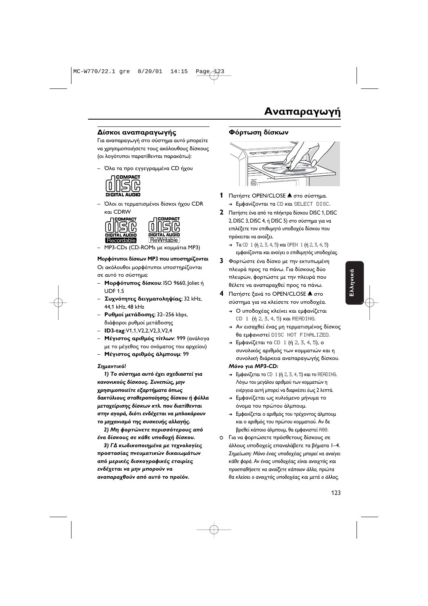#### Δίσκοι αναπαραγωγής

Για αναπαραγωγή στο σύστημα αυτό μπορείτε να χρησιμοποιήσετε τους ακόλουθους δίσκους (οι λογότυποι παρατίθενται παρακάτω):

– Όλα τα προ εγγεγραμμένα CD ήχου



– Όλοι οι τερματισμένοι δίσκοι ήχου CDR και CDRW





— MP3-CDs (CD-ROMs με κομμάτια MP3)

#### Μορφότυποι δίσκων ΜΡ3 που υποστηρίζονται

Οι ακόλουθοι μορφότυποι υποστηρίζονται σε αυτό το σύστημα:

- Μορφότυπος δίσκου: ISO 9660, Joliet ή UDF 1.5
- **Συχνότητες δειγματοληψίας**: 32 kHz, 44,1 kHz, 48 kHz
- **Ρυθμοί μετάδοσης: 32-256 kbps,** διάφοροι ρυθμοί μετάδοσης
- **ID3-tag**:V1,1,V2,2,V2,3,V2,4
- **Μέγιστος αριθμός τίτλων**: 999 (ανάλογα με το μέγεθος του ονόματος του αρχείου)
- Μέγιστος αριθμός άλμπουμ: 99

#### **Σημαντικό!**

**1) Το σύστημα αυτό έχει σχεδιαστεί για** κανονικούς δίσκους. Συνεπώς, μην **χρησιμοποιείτε εξαρτήματα όπως** δακτύλιους σταθεροποίησης δίσκου ή φύλλα μεταχείρισης δίσκων κτλ. που διατίθενται στην αγορά, διότι ενδέχεται να μπλοκάρουν το μηχανισμό της συσκευής αλλαγής.

2) Μη φορτώνετε περισσότερους από ένα δίσκους σε κάθε υποδοχή δίσκου.

**3) ΓΔ κωδικοποιημένα με τεχνολογίες προστασίας πνευματικών δικαιωμάτων** από μερικές δισκογραφικές εταιρίες ενδέχεται να μην μπορούν να **αναπαραχθούν από αυτό το προϊόν.** 

#### Φόρτωση δίσκων



- **1** Πατήστε OPEN/CLOSE **Δ** στο σύστημα. → Εμφανίζονται τα CD και SELECT DISC.
- **2** Πατήστε ένα από τα πλήκτρα δίσκου DISC 1, DISC 2, DISC 3, DISC 4, ή DISC 5) στο σύστημα για να επιλέξετε τον επιθυμητό υποδοχέα δίσκου που πρόκειται να ανοίξει
	- $\rightarrow$  Ta CD 1 (ή 2, 3, 4, 5) και OPEN 1 (ή 2, 3, 4, 5) εμφανίζονται και ανοίγει ο επιθυμητός υποδοχέας
- **3** Φορτώστε ένα δίσκο με την εκτυπωμένη πλευρά προς τα πάνω. Για δίσκους δύο πλευρών, φορτώστε με την πλευρά που θέλετε να αναπαραχθεί προς τα πάνω.
- **4** Πατήστε ξανά το OPEN/CLOSE **Δ** στο σύστημα για να κλείσετε τον υποδοχέα
	- → Ο υποδοχέας κλείνει και εμφανίζεται CD 1 (ή 2, 3, 4, 5) και READING.
	- → Αν εισαχθεί ένας μη τερματισμένος δίσκος θα εμφανιστεί DISC NOT FINALIZED.
	- → Εμφανίζεται το CD 1 (ή 2, 3, 4, 5), ο συνολικός αριθμός των κομματιών και η συνολική διάρκεια αναπαραγωγής δίσκου.
	- **7-**  *MP3-CD:*
	- $\rightarrow$  Εμφανίζεται το CD-1 (ή 2, 3, 4, 5) και το READING Λόγω του μεγάλου αριθμού των κομματιών r ενέργεια αυτή μπορεί να διαρκέσει έως 2 λεπτά
	- → Εμφανίζεται ως κυλιόμενο μήνυμα το όνομα του πρώτου άλμπουμ.
	- → Εμφανίζεται ο αριθμός του τρέχοντος άλμπουμ και ο αριθμός του πρώτου κομματιού. Αν δε βρεθεί κάποιο άλμπουμ, θα εμφανιστεί A00
- Ο Για να φορτώσετε πρόσθετους δίσκους σε άλλους υποδοχείς επαναλάβετε τα βήματα 1-4. Σημείωση: Μόνο ένας υποδοχέας μπορεί να ανοίγει κάθε φορά. Αν ένας υποδοχέας είναι ανοιχτός και προσπαθήσετε να ανοίξετε κάποιον άλλο, πρώτα θα κλείσει ο ανοιχτός υποδοχέας και μετά ο άλλος.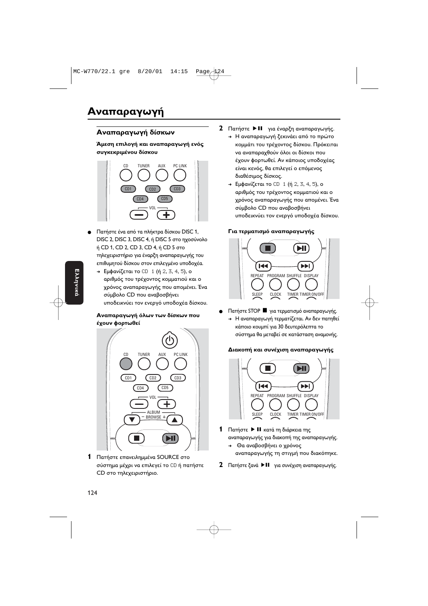#### Αναπαραγωγή δίσκων

Άμεση επιλογή και αναπαραγωγή ενός συγκεκριμένου δίσκου



- Πατήστε ένα από τα πλήκτρα δίσκου DISC 1, DISC 2, DISC 3, DISC 4, ή DISC 5 στο ηχοσύνολο ή CD 1, CD 2, CD 3, CD 4, ή CD 5 στο τηλεχειριστήριο για έναρξη αναπαραγωγής του επιθυμητού δίσκου στον επιλεγμένο υποδοχέα.
	- → Εμφανίζεται το CD 1 (ή 2, 3, 4, 5), ο αριθμός του τρέχοντος κομματιού και ο χρόνος αναπαραγωγής που απομένει. Ένα σύμβολο CD που αναβοσβήνει υποδεικνύει τον ενεργό υποδοχέα δίσκου.

#### Αναπαραγωγή όλων των δίσκων που έχουν φορτωθεί



1 Πατήστε επανειλημμένα SOURCE στο σύστημα μέχρι να επιλεγεί το CD ή πατήστε CD στο τηλεχειριστήριο.

- **2** Πατήστε **> ΙΙ** για έναρξη αναπαραγωγής.
	- → Η αναπαραγωγή ξεκινάει από το πρώτο κομμάτι του τρέχοντος δίσκου. Πρόκειται να αναπαραχθούν όλοι οι δίσκοι που έχουν φορτωθεί. Αν κάποιος υποδοχέας είναι κενός, θα επιλεγεί ο επόμενος διαθέσιμος δίσκος.
	- ➜ !-2 - CD 1 ( 2, 3, 4, 5), αριθμός του τρέχοντος κομματιού και ο χρόνος αναπαραγωγής που απομένει. Ένα σύμβολο CD που αναβοσβήνει υποδεικνύει τον ενεργό υποδοχέα δίσκου.

#### **Για τερματισμό αναπαραγωγής**



· Πατήστε STOP | για τερματισμό αναπαραγωγής → Η αναπαραγωγή τερματίζεται. Αν δεν πατηθεί κάποιο κουμπί για 30 δευτερόλεπτα το σύστημα θα μεταβεί σε κατάσταση αναμονής.

#### Διακοπή και συνέχιση αναπαραγωγής



- **1** Πατήστε **> ΙΙ** κατά τη διάρκεια της αναπαραγωγής για διακοπή της αναπαραγωγής.
	- → Θα αναβοσβήνει ο χρόνος αναπαραγωγής τη στιγμή που διακόπηκε.
- **2** Πατήστε ξανά **> ΙΙ** για συνέχιση αναπαραγωγής.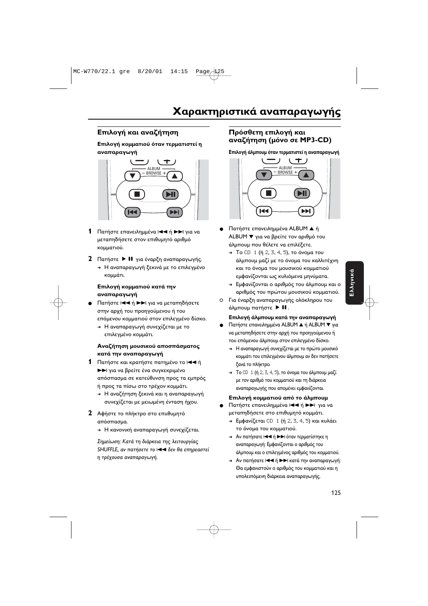#### Επιλογή και αναζήτηση

#### Επιλονή κομματιού όταν τερματιστεί η αναπαραγωγή



- $\mathbf 1$ Πατήστε επανειλημμένα |<< ή ▶▶ για να μεταπηδήσετε στον επιθυμητό αριθμό κομματιού.
- 2 Πατήστε > II για έναρξη αναπαραγωγής. + Η αναπαραγωγή ξεκινά με το επιλεγμένο
	- κομμάτι.

#### Επιλογή κομματιού κατά την αναπαραγωγή

- Πατήστε Ι< τή > Η για να μεταπηδήσετε στην αρχή του προηγούμενου ή του επόμενου κομματιού στον επιλεγμένο δίσκο.
	- + Η αναπαραγωγή συνεχίζεται με το επιλεγμένο κομμάτι.

#### Αναζήτηση μουσικού αποσπάσματος κατά την αναπαραγωγή

- 1 Πατήστε και κρατήστε πατημένο το 144 ή **>** για να βρείτε ένα συγκεκριμένο απόσπασμα σε κατεύθυνση προς τα εμπρός ή προς τα πίσω στο τρέχον κομμάτι.
	- + Η αναζήτηση ξεκινά και η αναπαραγωγή συνεχίζεται με μειωμένη ένταση ήχου.
- 2 Αφήστε το πλήκτρο στο επιιθυμητό απόσπασμα.
	- + Η κανονική αναπαραγωγή συνεχίζεται.

Σημείωση: Κατά τη διάρκεια της λειτουργίας SHUFFLE, αν πατήσετε το 144 δεν θα επηρεαστεί η τρέχουσα αναπαραγωγή.

#### Πρόσθετη επιλογή και αναζήτηση (μόνο σε MP3-CD)

Επιλογή άλμπουμ όταν τερματιστεί η αναπαραγωγή



- Πατήστε επανειλημμένα ALBUM ▲ ή ALBUM V για να βρείτε τον αριθμό του άλμπουμ που θέλετε να επιλέξετε.
	- $\rightarrow$  To CD 1 (ή 2, 3, 4, 5), το όνομα του άλμπουμ μαζί με το όνομα του καλλιτέχνη και το όνομα του μουσικού κομματιού εμφανίζονται ως κυλιόμενα μηνύματα.
	- → Εμφανίζονται ο αριθμός του άλμπουμ και ο αριθμός του πρώτου μουσικού κομματιού.
- Ο Για έναρξη αναπαραγωγής ολόκληρου του άλμπουμ πατήστε ▶ ΙΙ.

#### Επιλογή άλμπουμ κατά την αναπαραγωγή

- Πατήστε επανειλημμένα ALBUM ▲ ή ALBUM ▼ για να μεταπηδήσετε στην αρχή του προηγούμενου ή του επόμενου άλμπουμ στον επιλεγμένο δίσκο.
	- + Η αναπαραγωγή συνεχίζεται με το πρώτο μουσικό κομμάτι του επιλεγμένου άλμπουμ αν δεν πατήσετε ξανά το πλήκτρο.
	- $\rightarrow$  To CD 1 (ή 2, 3, 4, 5), το όνομα του άλμπουμ μαζί με τον αριθμό του κομματιού και τη διάρκεια αναπαραγωγής που απομένει εμφανίζονται.

#### Επιλογή κομματιού από το άλμπουμ

- Πατήστε επανειλημμένα |<< ή ▶▶ για να μεταπηδήσετε στο επιθυμητό κομμάτι.
	- → Εμφανίζεται CD 1 (ή 2, 3, 4, 5) και κυλάει το όνομα του κομματιού.
	- > Αν πατήσατε |  $\blacktriangleleft$  ή  $\blacktriangleright$  | όταν τερματίστηκε η αναπαραγωγή: Εμφανίζονται ο αριθμός του άλμπουμ και ο επιλεγμένος αριθμός του κομματιού.
	- > Αν πατήσατε και ή >> κατά την αναπαραγωγή: Θα εμφανιστούν ο αριθμός του κομματιού και η υπολειπόμενη διάρκεια αναπαραγωγής.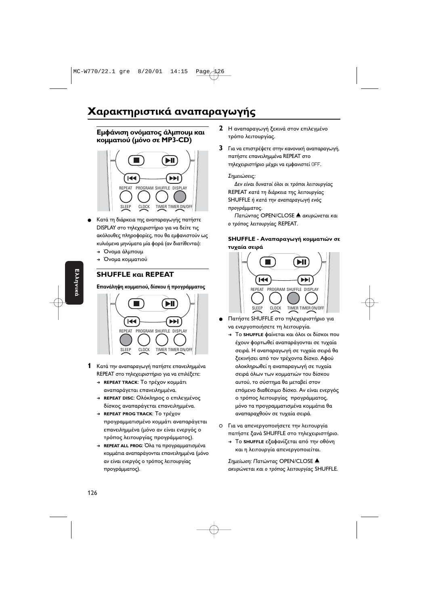### Χαρακτηριστικά αναπαραγωγής

#### Εμφάνιση ονόματος άλμπουμ και **κομματιού (μόνο σε MP3-CD)**



- Κατά τη διάρκεια της αναπαραγωγής πατήστε DISPLAY στο τηλεχειριστήριο για να δείτε τις ακόλουθες πληροφορίες, που θα εμφανιστούν ως κυλιόμενα μηνύματα μία φορά (αν διατίθενται):
	- → Όνομα άλμπουμ
	- → Όνομα κομματιού

#### **SHUFFLE REPEAT**

#### Επανάληψη κομματιού, δίσκου ή προγράμματος



- 1 ΓΚατά την αναπαραγωγή πατήστε επανειλημμένα REPEAT στο τηλεχειριστήριο για να επιλέξετε:
	- **→ REPEAT TRACK: Τ**ο τρέχον κομμάτι αναπαράγεται επανειλημμένα.
	- → REPEAT DISC: Ολόκληρος ο επιλεγμένος δίσκος αναπαράγεται επανειλημμένα.
	- <u>→ REPEAT PROG TRACK: Το τρέχ</u>ον προγραμματισμένο κομμάτι αναπαράγεται επανειλημμένα (μόνο αν είναι ενεργός ο τρόπος λειτουργίας προγράμματος).
	- → REPEAT ALL PROG: Όλα τα προγραμματισμένα κομμάτια αναπαράγονται επανειλημμένα (μόνο αν είναι ενεργός ο τρόπος λειτουργίας προγράμματος).
- **2** Η αναπαραγωγή ξεκινά στον επιλεγμένο τρόπο λειτουργίας.
- $\,$ **3**  $\,$  Για να επιστρέψετε στην κανονική αναπαραγωγή, πατήστε επανειλημμένα REPEAT στο τηλεχειριστήριο μέχρι να εμφανιστεί OFF.

#### Σημειώσεις.

Δεν είναι δυνατοί όλοι οι τρόποι λειτουργίας REPEAT κατά τη διάρκεια της λειτουργίας SHUFFLE ή κατά την αναπαραγωγή ενός προγράμματος.

Πατώντας OPEN/CLOSE Δ ακυρώνεται και ο τρόπος λειτουργίας REPEAT.

#### SHUFFLE - Αναπαραγωγή κομματιών σε **τυχαία σειρά**



- Πατήστε SHUFFLE στο τηλεχειριστήριο για να ενεργοποιήσετε τη λειτουργία
	- → Το **shuFFLE** φαίνεται και όλοι οι δίσκοι που έχουν φορτωθεί αναπαράγονται σε τυχαία σειρά. Η αναπαραγωγή σε τυχαία σειρά θα ξεκινήσει από τον τρέχοντα δίσκο. Αφού ολοκληρωθεί η αναπαραγωγή σε τυχαία σειρά όλων των κομματιών του δίσκου αυτού, το σύστημα θα μεταβεί στον επόμενο διαθέσιμο δίσκο. Αν είναι ενεργός ο τρόπος λειτουργίας προγράμματος, μόνο τα προγραμματισμένα κομμάτια θα αναπαραχθούν σε τυχαία σειρά.
- Ο  Για να απενεργοποιήσετε την λειτουργία πατήστε ξανά SHUFFLE στο τηλεχειριστήριο.
	- → Το **shuffle** εξαφανίζεται από την οθόνη και η λειτουργία απενεργοποιείται.

Σημείωση: Πατώντας OPEN/CLOSE Δ ακυρώνεται και ο τρόπος λειτουργίας SHUFFLE.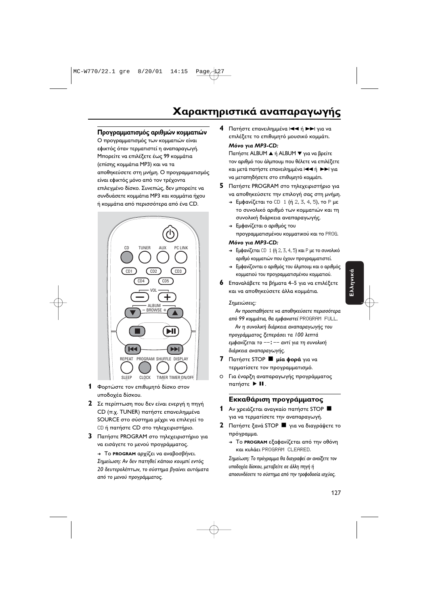## Χαρακτηριστικά αναπαραγωγής

#### Προγραμματισμός αριθμών κομματιών

Ο προγραμματισμός των κομματιών είναι εφικτός όταν τερματιστεί η αναπαραγωγή. Μπορείτε να επιλέξετε έως 99 κομμάτια (επίσης κομμάτια MP3) και να τα αποθηκεύσετε στη μνήμη. Ο προγραμματισμός είναι εφικτός μόνο από τον τρέχοντα επιλεγμένο δίσκο. Συνεπώς, δεν μπορείτε να συνδυάσετε κομμάτια MP3 και κομμάτια ήχου ή κομμάτια από περισσότερα από ένα CD.



- **1** Φορτώστε τον επιθυμητό δίσκο στον υποδοχέα δίσκου.
- **2** Σε περίπτωση που δεν είναι ενεργή η πηγή CD (π.χ. TUNER) πατήστε επανειλημμένα SOURCE στο σύστημα μέχρι να επιλεγεί το CD ή πατήστε CD στο τηλεχειριστήριο.
- $\,$  3  $\,$  Πατήστε <code>PROGRAM</code> στο τηλεχειριστήριο για να εισάγετε το μενού προγράμματος.

→ Το **PROGRAM** αρχίζει να αναβοσβήνει. Σημείωση: Αν δεν πατηθεί κάποιο κουμπί εντός 20 δευτερολέπτων, το σύστημα βγαίνει αυτόματα από το μενού προγράμματος.

**4** Πατήστε επανειλημμένα Ι<< ή >>Ι για να επιλέξετε το επιθυμητό μουσικό κομμάτι. **7-**  *MP3-CD:*

Πατήστε ALBUM ▲ ή ALBUM ▼ για να βρείτε τον αριθμό του άλμπουμ που θέλετε να επιλέξετε και μετά πατήστε επανειλημμένα |<< ή A>| για να μεταπηδήσετε στο επιθυμητό κομμάτι

- $\,$ 5  $\,$  Πατήστε <code>PROGRAM</code> στο τηλεχειριστήριο για να αποθηκεύσετε την επιλογή σας στη μνήμη.
	- → Εμφανίζεται το CD 1 (ή 2, 3, 4, 5), το P με το συνολικό αριθμό των κομματιών και τη συνολική διάρκεια αναπαραγωγής.
	- → Εμφανίζεται ο αριθμός του **προγραμματισμένου κομματικού και το** PR0G.

#### **7-**  *MP3-CD:*

- $\rightarrow$  Εμφανίζεται CD  $\rightarrow$  (ή 2, 3, 4, 5) και P με το συνολικό αριθμό κομματιών που έχουν προγραμματιστεί
- → Εμφανίζονται ο αριθμός του άλμπουμ και ο αριθμός κομματιού του προγραμματισμένου κομματιού
- **6** Επαναλάβετε τα βήματα 4–5 για να επιλέξετε και να αποθηκεύσετε άλλα κομμάτια.

#### Σημειώσεις.

Αν προσπαθήσετε να αποθηκεύσετε περισσότερο από 99 κομμάτια, θα εμφανιστεί PROGRAM FULL.

Αν η συνολική διάρκεια αναπαραγωγής του προγράμματος ξεπεράσει τα 100 λεπτά εμφανίζεται το --:-- αντί για τη συνολική διάρκεια αναπαραγωγής.

- **7** Πατήστε STOP **Πμία φορά** για να τερματίσετε τον προγραμματισμό.
- Ο Για έναρξη αναπαραγωγής προγράμματος πατήστε > II.

#### Εκκαθάριση προγράμματος

- 1 Αν χρειάζεται αναγκαίο πατήστε STOP  $\blacksquare$ για να τερματίσετε την αναπαραγωγή.
- **2** Πατήστε ξανά STOP **Π** για να διαγράψετε το πρόγραμμα.
	- → Το **PROGRAM** εξαφανίζεται από την οθόνη και κυλάει PROGRAM CLEARED.

Σημείωση: Το πρόγραμμα θα διαγραφεί αν ανοίξετε τον υποδοχέα δίσκου, μεταβείτε σε άλλη πηγή ή αποσυνδέσετε το σύστημα από την τροφοδοσία ισχύος.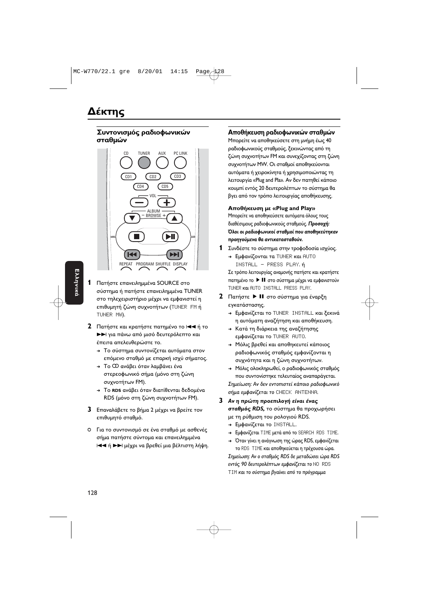#### Συντονισμός ραδιοφωνικών σταθμών



- $\mathbf{1}$ Πατήστε επανειλημμένα SOURCE στο σύστημα ή πατήστε επανειλημμένα TUNER στο τηλεχειριστήριο μέχρι να εμφανιστεί η επιθυμητή ζώνη συχνοτήτων (TUNER FM ή TUNER MW).
- 2 Πατήστε και κρατήστε πατημένο το και ή το >> για πάνω από μισό δευτερόλεπτο και έπειτα απελευθερώστε το.
	- + Το σύστημα συντονίζεται αυτόματα στον επόμενο σταθμό με επαρκή ισχύ σήματος.
	- → Το Φ ανάβει όταν λαμβάνει ένα στερεοφωνικό σήμα (μόνο στη ζώνη συχνοτήτων FM).
	- → Το RDS ανάβει όταν διατίθενται δεδομένα RDS (μόνο στη ζώνη συχνοτήτων FM).
- 3 Επαναλάβετε το βήμα 2 μέχρι να βρείτε τον επιθυμητό σταθμό.
- Ο Για το συντονισμό σε ένα σταθμό με ασθενές σήμα πατήστε σύντομα και επανειλημμένα 144 ή >> μέχρι να βρεθεί μια βέλτιστη λήψη.

#### Αποθήκευση ραδιοφωνικών σταθμών

Μπορείτε να αποθηκεύσετε στη μνήμη έως 40 ραδιοφωνικούς σταθμούς, ξεκινώντας από τη ζώνη συχνοτήτων FM και συνεχίζοντας στη ζώνη συχνοτήτων MW. Οι σταθμοί αποθηκεύονται αυτόματα ή χειροκίνητα ή χρησιμοποιώντας τη λειτουργία «Plug and Pla». Αν δεν πατηθεί κάποιο κουμπί εντός 20 δευτερολέπτων το σύστημα θα βγει από τον τρόπο λειτουργίας αποθήκευσης.

#### Αποθήκευση με «Plug and Play»

Μπορείτε να αποθηκεύσετε αυτόματα όλους τους διαθέσιμους ραδιοφωνικούς σταθμούς. Προσοχή: Όλοι οι ραδιοφωνικοί σταθμοί που αποθηκεύτηκαν προηγούμενα θα αντικατασταθούν.

- 1 Συνδέστε το σύστημα στην τροφοδοσία ισχύος.
	- > Εμφανίζονται τα TUNER και AUTO INSTALL - PRESS PLAY. ή

Σε τρόπο λειτουργίας αναμονής πατήστε και κρατήστε πατημένο το ▶ II στο σύστημα μέχρι να εμφανιστούν TUNER Kal AUTO INSTALL PRESS PLAY.

- 2 Πατήστε > II στο σύστημα για έναρξη εγκατάστασης.
	- > Εμφανίζεται το TUNER INSTALL και ξεκινά η αυτόματη αναζήτηση και αποθήκευση.
	- → Κατά τη διάρκεια της αναζήτησης εμφανίζεται το TUNER AUTO.
	- → Μόλις βρεθεί και αποθηκευτεί κάποιος ραδιοφωνικός σταθμός εμφανίζονται η συχνότητα και η ζώνη συχνοτήτων.
	- A Μόλις ολοκληρωθεί, ο ραδιοφωνικός σταθμός που συντονίστηκε τελευταίος αναπαράγεται. Σημείωση: Αν δεν εντοπιστεί κάποιο ραδιοφωνικό σήμα εμφανίζεται το CHECK ΑΝΤΕΝΝΑ.
- 3 Αν η πρώτη προεπιλογή είναι ένας σταθμός RDS, το σύστημα θα προχωρήσει με τη ρύθμιση του ρολογιού RDS.
	- > Εμφανίζεται το INSTALL.
	- > Εμφανίζεται ΤΙΜΕ μετά από το SEARCH RDS TIME.
	- > Όταν γίνει η ανάγνωση της ώρας RDS, εμφανίζεται το RDS TIME και αποθηκεύεται η τρέχουσα ώρα. Σημείωση: Αν ο σταθμός RDS δε μεταδώσει ώρα RDS εντός 90 δευτερολέπτων εμφανίζεται το NO RDS ΤΙΜ και το σύστημα βγαίνει από το πρόγραμμα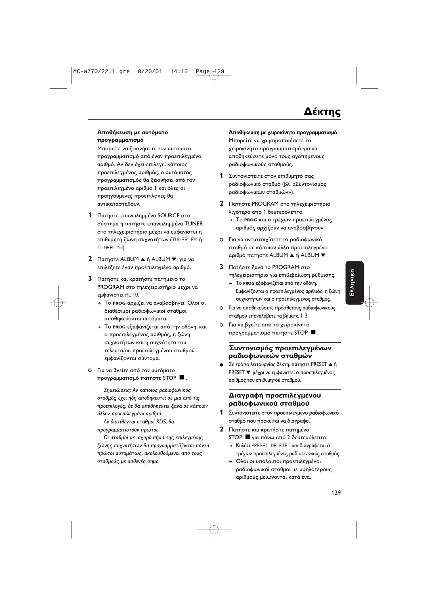#### Αποθήκευση με αυτόματο προγραμματισμό

Μπορείτε να ξεκινήσετε τον αυτόματο προγραμματισμό από έναν προεπιλεγμένο αριθμό. Αν δεν έχει επιλεγεί κάποιος προεπιλεγμένος αριθμός, ο αυτόματος προγραμματισμός θα ξεκινήσει από τον προεπιλεγμένο αριθμό 1 και όλες οι προηγούμενες προεπιλογές θα αντικατασταθούν.

- 1 Πατήστε επανειλημμένα SOURCE στο σύστημα ή πατήστε επανειλημμένα TUNER στο τηλεχειριστήριο μέχρι να εμφανιστεί η επιθυμητή ζώνη συχνοτήτων (TUNER FM ή TUNER MW).
- 2 Πατήστε ALBUM A ή ALBUM  $\blacktriangledown$  για να επιλέξετε έναν προεπιλεγμένο αριθμό.
- 3 Πατήστε και κρατήστε πατημένο το PROGRAM στο τηλεχειριστήριο μέχρι να εμφανιστεί AUT0.
	- → Το PROG αρχίζει να αναβοσβήνει. Όλοι οι διαθέσιμοι ραδιοφωνικοί σταθμοί αποθηκεύονται αυτόματα.
	- Το PROG εξαφανίζεται από την οθόνη, και ο προεπιλεγμένος αριθμός, η ζώνη συχνοτήτων και η συχνότητα του τελευταίου προεπιλεγμένου σταθμού εμφανίζονται σύντομα.
- Ο Για να βγείτε από τον αυτόματο προγραμματισμό πατήστε STOP ■.

Σημειώσεις: Αν κάποιος ραδιοφωνικός σταθμός έχει ήδη αποθηκευτεί σε μια από τις προεπιλογές, δε θα αποθηκευτεί ξανά σε κάποιον άλλον προεπιλεγμένο αριθμό.

Αν διατίθενται σταθμοί RDS, θα προγραμματιστούν πρώτοι.

Οι σταθμοί με ισχυρό σήμα της επιλεγμένης ζώνης συχνοτήτων θα προγραμματίζονται πάντα πρώτοι αυτομάτως, ακολουθούμενοι από τους σταθμούς με ασθενές σήμα.

#### Αποθήκευση με γειροκίνητο προνραμματισμό

Μπορείτε να χρησιμοποιήσετε το χειροκίνητο προγραμματισμό για να αποθηκεύσετε μόνο τους αγαπημένους ραδιοφωνικούς σταθμούς.

- 1 Συντονιστείτε στον επιθυμητό σας ραδιοφωνικό σταθμό (βλ. «Συντονισμός ραδιοφωνικών σταθμών»).
- 2 Πατήστε PROGRAM στο τηλεχειριστήριο λιγότερο από 1 δευτερόλεπτο.
	- → Το PROG και ο τρέχων προεπιλεγμένος αριθμός αρχίζουν να αναβοσβήνουν.
- Ο Για να αντιστοιχίσετε το ραδιοφωνικό σταθμό σε κάποιον άλλο προεπιλεγμένο αριθμό πατήστε ALBUM ▲ ή ALBUM ▼.
- 3 Πατήστε ξανά το PROGRAM στο τηλεχειριστήριο για επιβεβαίωση ρύθμισης.
	- > Το PROG εξαφανίζεται από την οθόνη. Εμφανίζονται ο προεπιλεγμένος αριθμός, η ζώνη συχνοτήτων και ο προεπιλεγμένος σταθμός.
- Ο Για να αποθηκεύσετε πρόσθετους ραδιοφωνικούς σταθμού επαναλάβετε τα βήματα 1-3.
- Ο Για να βγείτε από το χειροκίνητο προγραμματισμό πατήστε STOP ■.

#### Συντονισμός προεπιλεγμένων ραδιοφωνικών σταθμών

Σε τρόπο λειτουργίας δέκτη, πατήστε PRESET ▲ ή PRESET ▼ μέχρι να εμφανιστεί ο προεπιλεγμένος αριθμός του επιθυμητού σταθμού.

#### Διαγραφή προεπιλεγμένου ραδιοφωνικού σταθμού

- 1 Συντονιστείτε στον προεπιλεγμένο ραδιοφωνικό σταθμό που πρόκειται να διαγραφεί.
- 2 Πατήστε και κρατήστε πατημένο STOP <sup>1</sup>για πάνω από 2 δευτερόλεπτα.
	- > Κυλάει PRESET DELETED και διαγράφεται ο τρέχων προεπιλεγμένος ραδιοφωνικός σταθμός.
	- → Όλοι οι υπόλοιποι προεπιλεγμένοι ραδιοφωνικοί σταθμοί με υψηλότερους αριθμούς μειώνονται κατά ένα.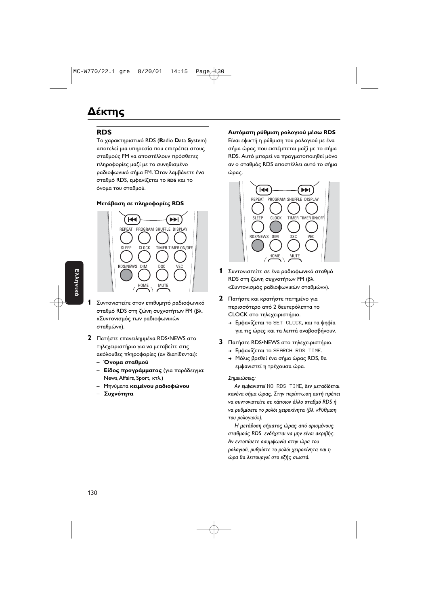### Δέκτης

#### **RDS**

Το χαρακτηριστικό RDS (Radio Data System) αποτελεί μια υπηρεσία που επιτρέπει στους σταθμούς FM να αποστέλλουν πρόσθετες πληροφορίες μαζί με το συνηθισμένο ραδιοφωνικό σήμα FM. Όταν λαμβάνετε ένα σταθμό RDS, εμφανίζεται το RDS και το όνομα του σταθμού.

#### Μετάβαση σε πληροφορίες RDS



- 1 Συντονιστείτε στον επιθυμητό ραδιοφωνικό σταθμό RDS στη ζώνη συχνοτήτων FM (βλ. «Συντονισμός των ραδιοφωνικών σταθμών»).
- 2 Πατήστε επανειλημμένα RDS•NEWS στο τηλεχειριστήριο για να μεταβείτε στις ακόλουθες πληροφορίες (αν διατίθενται):
	- Όνομα σταθμού
	- Είδος προγράμματος (για παράδειγμα: News, Affairs, Sport, KTA.)
	- Μηνύματα κειμένου ραδιοφώνου
	- Συχνότητα

#### Αυτόματη ρύθμιση ρολονιού μέσω RDS

Είναι εφικτή η ρύθμιση του ρολογιού με ένα σήμα ώρας που εκπέμπεται μαζί με το σήμα RDS. Αυτό μπορεί να πραγματοποιηθεί μόνο αν ο σταθμός RDS αποστέλλει αυτό το σήμα ώρας.



- 1 Συντονιστείτε σε ένα ραδιοφωνικό σταθμό RDS στη ζώνη συχνοτήτων FM (βλ. «Συντονισμός ραδιοφωνικών σταθμών»).
- 2 Πατήστε και κρατήστε πατημένο για περισσότερο από 2 δευτερόλεπτα το CLOCK στο τηλεχειριστήριο.
	- → Εμφανίζεται το SET CLOCK, και τα ψηφία για τις ώρες και τα λεπτά αναβοσβήνουν.
- 3 Πατήστε RDS.NEWS στο τηλεχειριστήριο.
	- > Εμφανίζεται το SEARCH RDS TIME.
	- + Μόλις βρεθεί ένα σήμα ώρας RDS, θα εμφανιστεί η τρέχουσα ώρα.

#### Σημειώσεις:

Αν εμφανιστεί ΝΟ RDS ΤΙΜΕ, δεν μεταδίδεται κανένα σήμα ώρας. Στην περίπτωση αυτή πρέπει να συντονιστείτε σε κάποιον άλλο σταθμό RDS ή να ρυθμίσετε το ρολόι χειροκίνητα (βλ. «Ρύθμιση του ρολογιού»).

Η μετάδοση σήματος ώρας από ορισμένους σταθμούς RDS ενδέχεται να μην είναι ακριβής. Αν εντοπίσετε ασυμφωνία στην ώρα του ρολογιού, ρυθμίστε το ρολόι χειροκίνητα και η ώρα θα λειτουργεί στο εξής σωστά.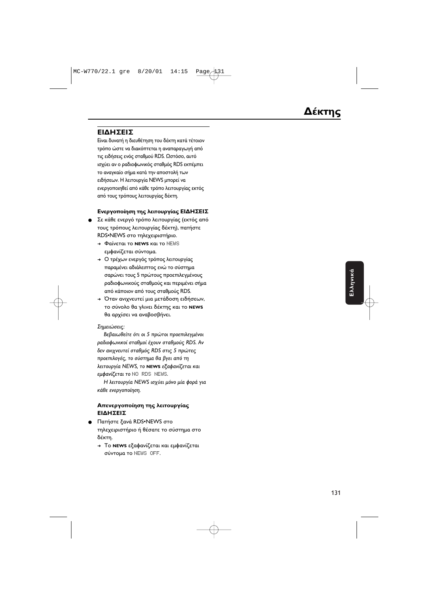#### **ΕΙΔΗΣΕΙΣ**

Είναι δυνατή η διευθέτηση του δέκτη κατά τέτοιον τρόπο ώστε να διακόπτεται η αναπαραγωγή από τις ειδήσεις ενός σταθμού RDS. Ωστόσο, αυτό ισχύει αν ο ραδιοφωνικός σταθμός RDS εκπέμπει το αναγκαίο σήμα κατά την αποστολή των ειδήσεων. Η λειτουργία NEWS μπορεί να ενεργοποιηθεί από κάθε τρόπο λειτουργίας εκτός από τους τρόπους λειτουργίας δέκτη.

#### Ενεργοποίηση της λειτουργίας ΕΙΔΗΣΕΙΣ

- Σε κάθε ενεργό τρόπο λειτουργίας (εκτός από τους τρόπους λειτουργίας δέκτη), πατήστε RDS•NEWS στο τηλεχειριστήριο.
	- → Φαίνεται το **NEWS** και το NEWS εμφανίζεται σύντομα.
	- → Ο τρέχων ενεργός τρόπος λειτουργίας παραμένει αδιάλειπτος ενώ το σύστημα σαρώνει τους 5 πρώτους προεπιλεγμένους ραδιοφωνικούς σταθμούς και περιμένει σήμα από κάποιον από τους σταθμούς RDS.
	- → Όταν ανιχνευτεί μια μετάδοση ειδήσεων, το σύνολο θα γλινει δέκτης και το **news** θα αρχίσει να αναβοσβήνει.

#### Σημειώσεις:

Βεβαιωθείτε ότι οι 5 πρώτοι προεπιλεγμένοι ραδιοφωνικοί σταθμοί έχουν σταθμούς RDS. Αν δεν ανιχνευτεί σταθμός RDS στις 5 πρώτες προεπιλογές, το σύστημα θα βγει από τη  $\lambda$ ειτουργία NEWS, το **NEWS** εξαφανίζεται και εμφανίζεται το NO RDS NEWS.

Η λειτουργία NEWS ισχύει μόνο μία φορά για κάθε ενεργοποίηση .

#### **Απενεργοποίηση της λειτουργίας ΕΙΔΗΣΕΙΣ**

- Πατήστε ξανά RDS•NEWS στο τηλεχειριστήριο ή θέσατε το σύστημα στο δέκτη.
	- → Το **NEWS** εξαφανίζεται και εμφανίζεται σύντομα το NEWS OFF.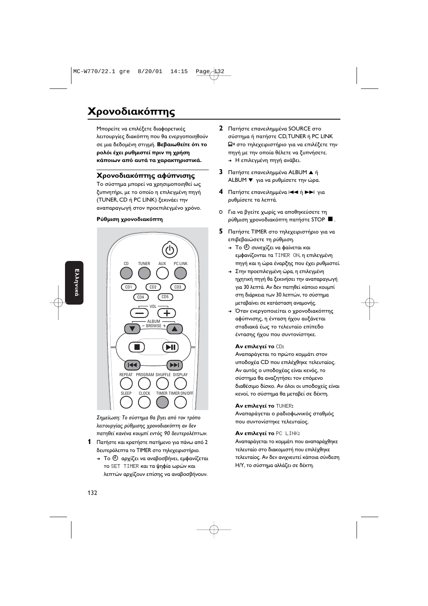## **Χρονοδιακόπτης**

Μπορείτε να επιλέξετε διαφορετικές λειτουργίες διακόπτη που θα ενεργοποιηθούν σε μια δεδομένη στιγμή. **Βεβαιωθείτε ότι το** ρολόι έχει ρυθμιστεί πριν τη χρήση κάποιων από αυτά τα χαρακτηριστικά.

#### **Χρονοδιακόπτης αφύπνισης**

Το σύστημα μπορεί να χρησιμοποιηθεί ως ξυπνητήρι, με το οποίο η επιλεγμένη πηγή (TUNER, CD ή PC LINK) ξεκινάει την αναπαραγωγή στον προεπιλεγμένο χρόνο.

#### Ρύθμιση χρονοδιακόπτη



Σημείωση: Το σύστημα θα βγει από τον τρόπο λειτουργίας ρύθμισης χρονοδιακόπτη αν δεν πατηθεί κανένα κουμπί εντός 90 δευτερολέπτων.

- **1** Πατήστε και κρατήστε πατήμενο για πάνω από 2 δευτερόλεπτα το TIMER στο τηλεχειριστήριο.
	- → Το  $\overline{\oplus}$  αρχίζει να αναβοσβήνει, εμφανίζεται το SET TIMER και τα ψηφία ωρών και λεπτών αρχίζουν επίσης να αναβοσβήνουν.
- **2** Πατήστε επανειλημμένα SOURCE στο σύστημα ή πατήστε CD,TUNER ή PC LINK  $\mathbf{Q}$ » στο τηλεχειριστήριο για να επιλέξετε την πηγή με την οποία θέλετε να ξυπνήσετε. <del>→</del> Η επιλεγμένη πηγή ανάβει.
- **3** Πατήστε επανειλημμένα ALBUM  $\blacktriangle$  ή ALBUM ▼ για να ρυθμίσετε την ώρα.
- **4** Πατήστε επανειλημμένα **| 4 + ή DD** για ρυθμίσετε τα λεπτά.
- Ο Για να βγείτε χωρίς να αποθηκεύσετε τη ρύθμιση χρονοδιακόπτη πατήστε STOP **·**
- **5** Πατήστε TIMER στο τηλεχειριστήριο για να επιβεβαιώσετε τη ρύθμιση.
	- $\rightarrow$  Το  $\oplus$  συνεχίζει να φαίνεται και εμφανίζονται τα ΤΙΜΕR ON, η επιλεγμένη πηγή και η ώρα έναρξης που έχει ρυθμιστεί.
	- → Στην προεπιλεγμένη ώρα, η επιλεγμένη ηχητική πηγή θα ξεκινήσει την αναπαραγωγή για 30 λεπτά. Αν δεν πατηθεί κάποιο κουμπι στη διάρκεια των 30 λεπτών, το σύστημα μεταβαίνει σε κατάσταση αναμονής.
	- → Όταν ενεργοποιείται ο χρονοδιακόπτης αφύπνισης, η ένταση ήχου αυξάνεται σταδιακά έως το τελευταίο επίπεδο έντασης ήχου που συντονίστηκε.

#### **Αν επιλεγεί το** CD:

Αναπαράγεται το πρώτο κομμάτι στον υποδοχέα CD που επιλέχθηκε τελευταίος. Αν αυτός ο υποδοχέας είναι κενός, τα σύστημα θα αναζητήσει τον επόμενο διαθέσιμο δίσκο. Αν όλοι οι υποδοχείς είναι κενοί, το σύστημα θα μεταβεί σε δέκτη

#### **Αν επιλεγεί το** TUNER:

Αναπαράγεται ο ραδιοφωνικός σταθμός που συντονίστηκε τελευταίος.

#### **Αν επιλεγεί το PC LINK:**

Αναπαράγεται το κομμάτι που αναπαράχθηκε τελευταίο στο διακομιστή που επιλέχθηκε τελευταίος. Αν δεν ανιχνευτεί κάποια σύνδεση Η/Υ, το σύστημα αλλάζει σε δέκτη.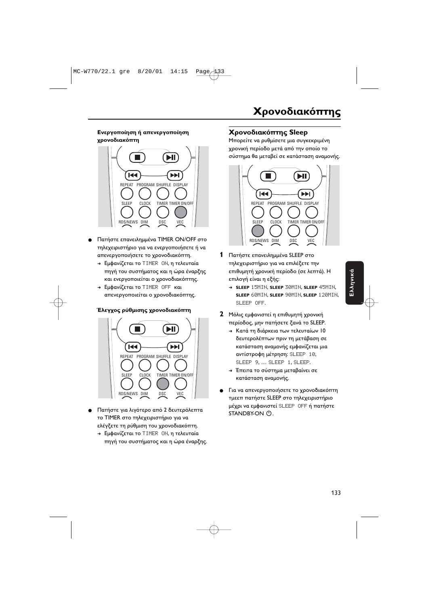#### **Ενεργοποίηση ή απενεργοποίηση** χρονοδιακόπτη



- Πατήστε επανειλημμένα TIMER ON/OFF στο τηλεχειριστήριο για να ενεργοποιήσετε ή να απενεργοποιήσετε το χρονοδιακόπτη.
	- → Εμφανίζεται το ΤΙΜΕR ΟΝ, η τελευταία πηγή του συστήματος και η ώρα έναρξης και ενεργοποιείται ο χρονοδιακόπτης.
	- → Εμφανίζεται το TIMER OFF και απενεργοποιείται ο χρονοδιακόπτης.

#### Έλεγχος ρύθμισης χρονοδιακόπτη



- Πατήστε για λιγότερο από 2 δευτερόλεπτα το TIMER στο τηλεχειριστήριο για να ελέγξετε τη ρύθμιση του χρονοδιακόπτη.
	- → Εμφανίζεται το ΤΙΜΕR ON, η τελευταία πηγή του συστήματος και η ώρα έναρξης.

#### **Χρονοδιακόπτης Sleep**

Μπορείτε να ρυθμίσετε μια συγκεκριμένη χρονική περίοδο μετά από την οποίο το σύστημα θα μεταβεί σε κατάσταση αναμονής.



- 1 Πατήστε επανειλημμένα SLEEP στο τηλεχειριστήριο για να επιλέξετε την επιθυμητή χρονική περίοδο (σε λεπτά). Η επιλογή είναι η εξής:
	- ➜ **SLEEP** 15MIN, **SLEEP** 30MIN, **SLEEP** 45MIN, **SLEEP** 60MIN, **SLEEP** 90MIN, **SLEEP** 120MIN, SLEEP OFF.
- **2** Μόλις εμφανιστεί η επιθυμητή χρονική περίοδος, μην πατήσετε ξανά το SLEEP.
	- → Κατά τη διάρκεια των τελευταίων 10 δευτερολέπτων πριν τη μετάβαση σε κατάσταση αναμονής εμφανίζεται μια αντίστροφη μέτρηση: SLEEP 10, SLEEP 9, … SLEEP 1, SLEEP.
	- → Έπειτα το σύστημα μεταβαίνει σε κατάσταση αναμονής.
- Για να απενεργοποιήσετε το χρονοδιακόπτη τμεεπ πατήστε SLEEP στο τηλεχειριστήριο μέχρι να εμφανιστεί SLEEP OFF ή πατήστε  $STANDBY-ON$   $(1)$ .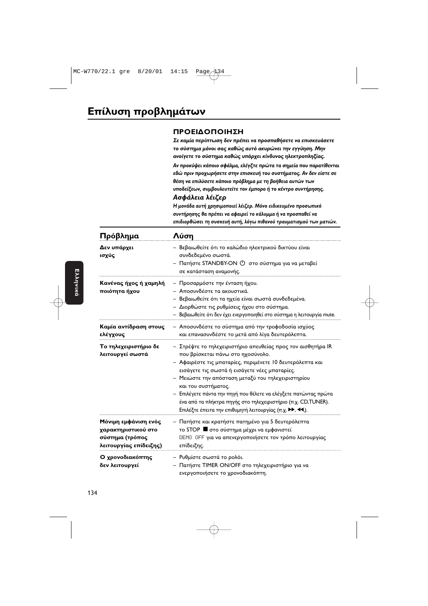#### ΠΡΟΕΙΔΟΠΟΙΗΣΗ

Σε καμία περίπτωση δεν πρέπει να προσπαθήσετε να επισκευάσετε το σύστημα μόνοι σας καθώς αυτό ακυρώνει την εγγύηση. Μην ανοίγετε το σύστημα καθώς υπάρχει κίνδυνος ηλεκτροπληξίας.

Αν προκύψει κάποιο σφάλμα, ελέγξτε πρώτα τα σημεία που παρατίθενται εδώ πριν προγωρήσετε στην επισκευή του συστήματος. Αν δεν είστε σε θέση να επιλύσετε κάποιο πρόβλημα με τη βοήθεια αυτών των υποδείξεων, συμβουλευτείτε τον έμπορο ή το κέντρο συντήρησης. Ασφάλεια λέιζερ

Η μονάδα αυτή χρησιμοποιεί λέιζερ. Μόνο ειδικευμένο προσωπικό συντήρησης θα πρέπει να αφαιρεί το κάλυμμα ή να προσπαθεί να επιδιορθώσει τη συσκευή αυτή, λόγω πιθανού τραυματισμού των ματιών.

| Πρόβλημα                                                                                 | Λύση                                                                                                                                                                                                                                                                                                                                                                                                                                                                                            |
|------------------------------------------------------------------------------------------|-------------------------------------------------------------------------------------------------------------------------------------------------------------------------------------------------------------------------------------------------------------------------------------------------------------------------------------------------------------------------------------------------------------------------------------------------------------------------------------------------|
| Δεν υπάρχει<br>ισχύς                                                                     | – Βεβαιωθείτε ότι το καλώδιο ηλεκτρικού δικτύου είναι<br>συνδεδεμένο σωστά.<br>– Πατήστε STANDBY-ON ( <sup>1</sup> ) στο σύστημα για να μεταβεί<br>σε κατάσταση αναμονής.                                                                                                                                                                                                                                                                                                                       |
| Κανένας ήχος ή χαμηλή<br>ποιότητα ήχου                                                   | – Προσαρμόστε την ένταση ήχου.<br>- Αποσυνδέστε τα ακουστικά.<br>- Βεβαιωθείτε ότι τα ηχεία είναι σωστά συνδεδεμένα.<br>– Διορθώστε τις ρυθμίσεις ήχου στο σύστημα.<br>- Βεβαιωθείτε ότι δεν έχει ενεργοποιηθεί στο σύστημα η λειτουργία mute.                                                                                                                                                                                                                                                  |
| Καμία αντίδραση στους<br>ελέγχους                                                        | - Αποσυνδέστε το σύστημα από την τροφοδοσία ισχύος<br>και επανασυνδέστε το μετά από λίγα δευτερόλεπτα.                                                                                                                                                                                                                                                                                                                                                                                          |
| Το τηλεχειριστήριο δε<br>λειτουργεί σωστά                                                | - Στρέψτε το τηλεχειριστήριο απευθείας προς τον αισθητήρα IR<br>που βρίσκεται πάνω στο ηχοσύνολο.<br>– Αφαιρέστε τις μπαταρίες, περιμένετε 10 δευτερόλεπτα και<br>εισάγετε τις σωστά ή εισάγετε νέες μπαταρίες.<br>– Μειώστε την απόσταση μεταξύ του τηλεχειριστηρίου<br>και του συστήματος.<br>— Επιλέγετε πάντα την πηγή που θέλετε να ελέγξετε πατώντας πρώτα<br>ένα από τα πλήκτρα πηγής στο τηλεχειριστήριο (π.χ. CD, TUNER).<br>Επιλέξτε έπειτα την επιθυμητή λειτουργίας (π.χ. >>, 44,). |
| Μόνιμη εμφάνιση ενός<br>χαρακτηριστικού στο<br>σύστημα (τρόπος<br>λειτουργίας επίδειξης) | – Πατήστε και κρατήστε πατημένο για 5 δευτερόλεπτα<br>το STOP <b>α</b> στο σύστημα μέχρι να εμφανιστεί<br>DEMO OFF για να απενεργοποιήσετε τον τρόπο λειτουργίας<br>επίδειξης.                                                                                                                                                                                                                                                                                                                  |
| Ο χρονοδιακόπτης<br>δεν λειτουργεί                                                       | - Ρυθμίστε σωστά το ρολόι.<br>- Πατήστε TIMER ON/OFF στο τηλεχειριστήριο για να<br>ενεργοποιήσετε το χρονοδιακόπτη.                                                                                                                                                                                                                                                                                                                                                                             |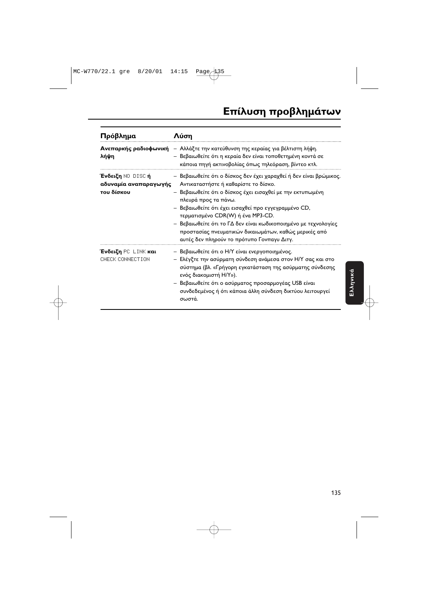| Πρόβλημα                                                               | Λύση                                                                                                                                                                                                                                                                                                                                                                                                                                                                    |
|------------------------------------------------------------------------|-------------------------------------------------------------------------------------------------------------------------------------------------------------------------------------------------------------------------------------------------------------------------------------------------------------------------------------------------------------------------------------------------------------------------------------------------------------------------|
| λήψη                                                                   | Ανεπαρκής ραδιοφωνική - Αλλάξτε την κατεύθυνση της κεραίας για βέλτιστη λήψη.<br>– Βεβαιωθείτε ότι η κεραία δεν είναι τοποθετημένη κοντά σε<br>κάποια πηγή ακτινοβολίας όπως τηλεόραση, βίντεο κτλ.                                                                                                                                                                                                                                                                     |
| <b>Ένδειξη</b> NO-DISC <b>ή</b><br>αδυναμία αναπαραγωγής<br>του δίσκου | – Βεβαιωθείτε ότι ο δίσκος δεν έχει χαραχθεί ή δεν είναι βρώμικος.<br>Αντικαταστήστε ή καθαρίστε το δίσκο.<br>– Βεβαιωθείτε ότι ο δίσκος έχει εισαχθεί με την εκτυπωμένη<br>πλευρά προς τα πάνω.<br>– Βεβαιωθείτε ότι έχει εισαχθεί προ εγγεγραμμένο CD,<br>τερματισμένο CDR(W) ή ένα MP3-CD.<br>– Βεβαιωθείτε ότι το ΓΔ δεν είναι κωδικοποιημένο με τεχνολογίες<br>προστασίας πνευματικών δικαιωμάτων, καθώς μερικές από<br>αυτές δεν πληρούν το πρότυπο Γονπαγυ Διτγ. |
| <b>Ένδειξη</b> PC LINK <b>και</b><br>CHECK CONNECTION                  | - Βεβαιωθείτε ότι ο Η/Υ είναι ενεργοποιημένος.<br>– Ελέγξτε την ασύρματη σύνδεση ανάμεσα στον Η/Υ σας και στο<br>σύστημα (βλ. «Γρήγορη εγκατάσταση της ασύρματης σύνδεσης<br>ενός διακομιστή H/Y»).<br>- Βεβαιωθείτε ότι ο ασύρματος προσαρμογέας USB είναι<br>συνδεδεμένος ή ότι κάποια άλλη σύνδεση δικτύου λειτουργεί<br>σωστά.                                                                                                                                      |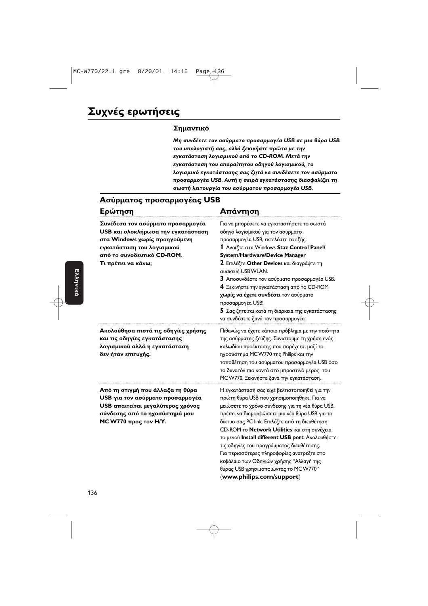#### **Σημαντικό**

 $M$ η συνδέετε τον ασύρματο προσαρμογέα USB σε μια θύρα USB του υπολογιστή σας, αλλά ξεκινήστε πρώτα με την εγκατάσταση λογισμικού από το CD-ROM. Μετά την **εγκατάσταση του απαραίτητου οδηγού λογισμικού, το** λογισμικό εγκατάστασης σας ζητά να συνδέσετε τον ασύρματο **προσαρμογέα USB. Αυτή η σειρά εγκατάστασης διασφαλίζει τη 
- - : - - -** *USB*.

> θύρας USB χρησιμοποιώντας το MCW770" (**www.philips.com/support**)

#### Ασύρματος προσαρμογέας USB

| Ερώτηση                                                                                                                                                                                    | Απάντηση                                                                                                                                                                                                                                                                                                                                                                                                                                                                                                                  |  |
|--------------------------------------------------------------------------------------------------------------------------------------------------------------------------------------------|---------------------------------------------------------------------------------------------------------------------------------------------------------------------------------------------------------------------------------------------------------------------------------------------------------------------------------------------------------------------------------------------------------------------------------------------------------------------------------------------------------------------------|--|
| Συνέδεσα τον ασύρματο προσαρμογέα<br>USB και ολοκλήρωσα την εγκατάσταση<br>στα Windows χωρίς προηγούμενη<br>εγκατάσταση του λογισμικού<br>από το συνοδευτικό CD-ROM.<br>Τι πρέπει να κάνω; | Για να μπορέσετε να εγκαταστήσετε το σωστό<br>οδηγό λογισμικού για τον ασύρματο<br>προσαρμογέα USB, εκτελέστε τα εξής:<br>1 Ανοίξτε στα Windows Staz Control Panel/<br>System/Hardware/Device Manager<br>2 Επιλέξτε Other Devices και διαγράψτε τη<br>συσκευή USB WLAN.<br>3 Αποσυνδέστε τον ασύρματο προσαρμογέα USB.<br>4 Ξεκινήστε την εγκατάσταση από το CD-ROM<br>χωρίς να έχετε συνδέσει τον ασύρματο<br>προσαρμογέα USB!<br>5 Σας ζητείται κατά τη διάρκεια της εγκατάστασης<br>να συνδέσετε ξανά τον προσαρμογέα. |  |
| Ακολούθησα πιστά τις οδηγίες χρήσης<br>και τις οδηγίες εγκατάστασης<br>λογισμικού αλλά η εγκατάσταση<br>δεν ήταν επιτυχής.                                                                 | Πιθανώς να έχετε κάποιο πρόβλημα με την ποιότητα<br>της ασύρματης ζεύξης. Συνιστούμε τη χρήση ενός<br>καλωδίου προέκτασης που παρέχεται μαζί το<br>ηχοσύστημα MCW770 της Philips και την<br>τοποθέτηση του ασύρματου προσαρμογέα USB όσο<br>το δυνατόν πιο κοντά στο μπροστινό μέρος του<br>MCW770. Ξεκινήστε ξανά την εγκατάσταση.                                                                                                                                                                                       |  |
| Από τη στιγμή που άλλαξα τη θύρα<br>USB για τον ασύρματο προσαρμογέα<br>USB απαιτείται μεγαλύτερος χρόνος<br>σύνδεσης από το ηχοσύστημά μου<br>MC W770 προς τον Η/Υ.                       | Η εγκατάστασή σας είχε βελτιστοποιηθεί για την<br>πρώτη θύρα USB που χρησιμοποιήθηκε. Για να<br>μειώσετε το χρόνο σύνδεσης για τη νέα θύρα USB,<br>πρέπει να διαμορφώσετε μια νέα θύρα USB για το<br>δίκτυο σας PC link. Επιλέξτε από τη διευθέτηση<br>CD-ROM το Network Utilities και στη συνέχεια<br>το μενού Install different USB port. Ακολουθήστε<br>τις οδηγίες του προγράμματος διευθέτησης.<br>Για περισσότερες πληροφορίες ανατρέξτε στο<br>κεφάλαιο των Οδηγιών χρήσης "Αλλαγή της                             |  |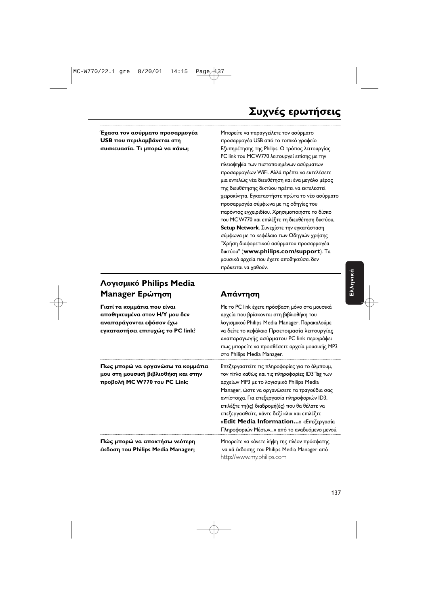#### 6 **USB που περιλαμβάνεται στη τηροσιπ**ροσα συσκευασία. Τι μπορώ να κάνω;

ε να παραγγείλετε τον ασύρματο ιρμογέα USB από το τοπικό γραφείο ησης της Philips. Ο τρόπος λειτουργίας PC link του MC W770 λειτουργεί επίσης με την πλειοψηφία των πιστοποιημένων ασύρματων προσαρμογέων WiFi. Αλλά πρέπει να εκτελέσετε μια εντελώς νέα διευθέτηση και ένα μεγάλο μέρος της διευθέτησης δικτύου πρέπει να εκτελεστεί χειροκίνητα. Εγκαταστήστε πρώτα το νέο ασύρματο προσαρμογέα σύμφωνα με τις οδηγίες του παρόντος εγχειριδίου. Χρησιμοποιήστε το δίσκο του MCW770 και επιλέξτε τη διευθέτηση δικτύου, **Setup Network**. Συνεχίστε την εγκατάσταση σύμφωνα με το κεφάλαιο των Οδηγιών χρήσης "Χρήση διαφορετικού ασύρματου προσαρμογέα δικτύου" (**www.philips.com/support**). Τα μουσικά αρχεία που έχετε αποθηκεύσει δεν πρόκειται να χαθούν.

#### **Λογισμικό Philips Media** Manager Ερώτηση Απάντηση

**Γιατί τα κομμάτια που είναι** αποθηκευμένα στον Η/Υ μου δεν αναπαράγονται εφόσον έχω **εγκαταστήσει επιτυχώς το PC link**? - ---- να

Πως μπορώ να οργανώσω τα κομμάτια **μου στη μουσική βιβλιοθήκη και στην** τοπ **προβολή MC W770 του PC Link**; α

ο PC link έχετε πρόσβαση μόνο στα μουσικά ρχεία που βρίσκονται στη βιβλιοθήκη του **!** "& Philips Media Manager. ---& ι δείτε το κεφάλαιο Προετοιμασία λειτουργίας αναπαραγωγής ασύρματου PC link περιγράφει πως μπορείτε να προσθέσετε αρχεία μουσικής MP3 Philips Media Manager. ιστείτε τις πληροφορίες για το άλμπουμ,

ον τίτλο καθώς και τις πληροφορίες ID3 Tag των ρχείων MP3 με το λογισμικό Philips Media. Manager, ώστε να οργανώσετε τα τραγούδια σας αντίστοιχα. Για επεξεργασία πληροφοριών ID3, επιλέξτε τη(ις) διαδρομή(ές) που θα θέλατε να επεξεργασθείτε, κάντε δεξί κλικ και επιλέξτε «**Edit Media Information...**» «Επεξεργασία Πληροφοριών Μέσων...» από το αναδυόμενο μενού.

Πώς μπορώ να αποκτήσω νεότερη **Philips Media Manager;** -

ε να κάνετε λήψη της πλέον πρόσφατης ι κά έκδοσης του Philips Media Manager από http://www.my.philips.com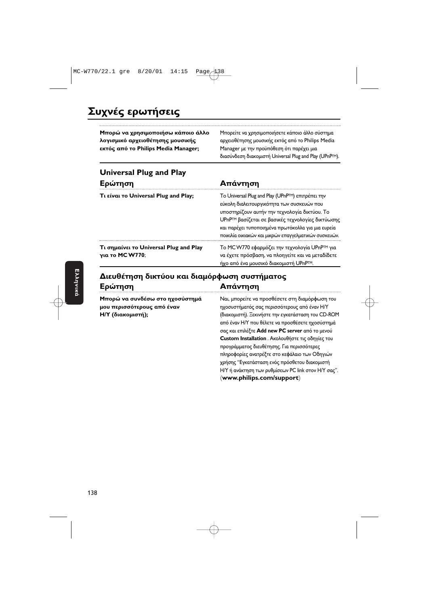### Συχνές ερωτήσεις

| Μπορώ να χρησιμοποιήσω κάποιο άλλο<br>λογισμικό αρχειοθέτησης μουσικής<br>εκτός από το Philips Media Manager; | Μπορείτε να χρησιμοποιήσετε κάποιο άλλο σύστημα<br>αρχειοθέτησης μουσικής εκτός από το Philips Media<br>Manager με την προϋπόθεση ότι παρέχει μια<br>διασύνδεση διακομιστή Universal Plug and Play (UPnPTM). |
|---------------------------------------------------------------------------------------------------------------|--------------------------------------------------------------------------------------------------------------------------------------------------------------------------------------------------------------|
| <b>Universal Plug and Play</b>                                                                                |                                                                                                                                                                                                              |
| Ερώτηση                                                                                                       | Απάντηση                                                                                                                                                                                                     |
| Tι είναι το Universal Plug and Play;                                                                          | To Universal Plug and Play (UPnP <sup>TM</sup> ) επιτρέπει την<br>εύκολη διαλειτουργικότητα των συσκευών που                                                                                                 |

**Τι σημαίνει το Universal Plug and Play νια το MC W770;** 

υποστηρίζουν αυτήν την τεχνολογία δικτύου. Το UPnP™ βασίζεται σε βασικές τεχνολογίες δικτύωσης και παρέχει τυποποιημένα πρωτόκολλα για μια ευρεία ποικιλία οικιακών και μικρών επαγγελματικών συσκευών

ιρμόζει την τεχνολογία UPnP™ για ι έχετε πρόσβαση, να πλοηγείτε και να μεταδίδετε <u>ήχο από ένα μουσικό διακομιστή UPnP™.</u>

#### Διευθέτηση δικτύου και διαμόρφωση συστήματος Ερώτηση **Απάντηση**

**Μπορώ να συνδέσω στο ηχοσύστημά Na** μου περισσότερους από έναν **Η/Υ** (διακομιστή);

ιι, μπορείτε να προσθέσετε στη διαμόρφωση του ήματός σας περισσότερους από έναν Η/Υ ικομιστή). Ξεκινήστε την εγκατάσταση του CD-ROM από έναν Η/Υ που θέλετε να προσθέσετε ηχοσύστημά σας και επιλέξτε **Add new PC server** από το μενού **Custom Installation** . Ακολουθήστε τις οδηγίες του προγράμματος διευθέτησης. Για περισσότερες πληροφορίες ανατρέξτε στο κεφάλαιο των Οδηγιών χρήσης ''Εγκατάσταση ενός πρόσθετου διακομιστή H/Y ή ανάκτηση των ρυθμίσεων PC link στον H/Y σας". (**www.philips.com/support**)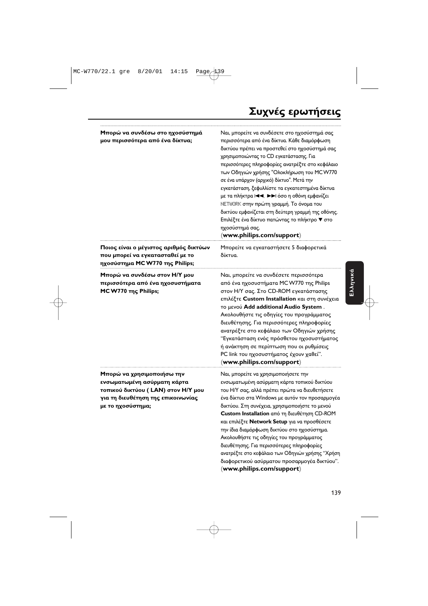| Μπορώ να συνδέσω στο ηχοσύστημά<br>μου περισσότερα από ένα δίκτυα;<br>Ποιος είναι ο μέγιστος αριθμός δικτύων<br>που μπορεί να εγκατασταθεί με το           | Ναι, μπορείτε να συνδέσετε στο ηχοσύστημά σας<br>περισσότερα από ένα δίκτυα. Κάθε διαμόρφωση<br>δικτύου πρέπει να προστεθεί στο ηχοσύστημά σας<br>χρησιμοποιώντας το CD εγκατάστασης. Για<br>περισσότερες πληροφορίες ανατρέξτε στο κεφάλαιο<br>των Οδηγιών χρήσης "Ολοκλήρωση του MCW770<br>σε ένα υπάρχον (αρχικό) δίκτυο". Μετά την<br>εγκατάσταση, ξεφυλλίστε τα εγκατεστημένα δίκτυα<br>με τα πλήκτρα Ι<Α, >> ιόσο η οθόνη εμφανίζει<br>NETWORK στην πρώτη γραμμή. Το όνομα του<br>δικτύου εμφανίζεται στη δεύτερη γραμμή της οθόνης.<br>Επιλέξτε ένα δίκτυο πατώντας το πλήκτρο ▼ στο<br>ηχοσύστημά σας.<br>(www.philips.com/support)<br>Μπορείτε να εγκαταστήσετε 5 διαφορετικά<br>δίκτυα. |
|------------------------------------------------------------------------------------------------------------------------------------------------------------|---------------------------------------------------------------------------------------------------------------------------------------------------------------------------------------------------------------------------------------------------------------------------------------------------------------------------------------------------------------------------------------------------------------------------------------------------------------------------------------------------------------------------------------------------------------------------------------------------------------------------------------------------------------------------------------------------|
| ηχοσύστημα MCW770 της Philips;<br>Μπορώ να συνδέσω στον Η/Υ μου<br>περισσότερα από ένα ηχοσυστήματα<br>MC W770 της Philips;                                | Ναι, μπορείτε να συνδέσετε περισσότερα<br>από ένα ηχοσυστήματα MCW770 της Philips<br>στον Η/Υ σας. Στο CD-ROM εγκατάστασης<br>επιλέξτε Custom Installation και στη συνέχεια<br>το μενού Add additional Audio System.<br>Ακολουθήστε τις οδηγίες του προγράμματος<br>διευθέτησης. Για περισσότερες πληροφορίες<br>ανατρέξτε στο κεφάλαιο των Οδηγιών χρήσης<br>"Εγκατάσταση ενός πρόσθετου ηχοσυστήματος<br>ή ανάκτηση σε περίπτωση που οι ρυθμίσεις<br>PC link του ηχοσυστήματος έχουν χαθεί".<br>(www.philips.com/support)                                                                                                                                                                       |
| Μπορώ να χρησιμοποιήσω την<br>ενσωματωμένη ασύρματη κάρτα<br>τοπικού δικτύου (LAN) στον Η/Υ μου<br>για τη διευθέτηση της επικοινωνίας<br>με το ηχοσύστημα; | Ναι, μπορείτε να χρησιμοποιήσετε την<br>ενσωματωμένη ασύρματη κάρτα τοπικού δικτύου<br>του Η/Υ σας, αλλά πρέπει πρώτα να διευθετήσετε<br>ένα δίκτυο στα Windows με αυτόν τον προσαρμογέα<br>δικτύου. Στη συνέχεια, χρησιμοποιήστε το μενού<br>Custom Installation από τη διευθέτηση CD-ROM<br>και επιλέξτε Network Setup για να προσθέσετε<br>την ίδια διαμόρφωση δικτύου στο ηχοσύστημα.<br>Ακολουθήστε τις οδηγίες του προγράμματος<br>διευθέτησης. Για περισσότερες πληροφορίες<br>ανατρέξτε στο κεφάλαιο των Οδηγιών χρήσης "Χρήση                                                                                                                                                            |

διαφορετικού ασύρματου προσαρμογέα δικτύου".

(**www.philips.com/support**)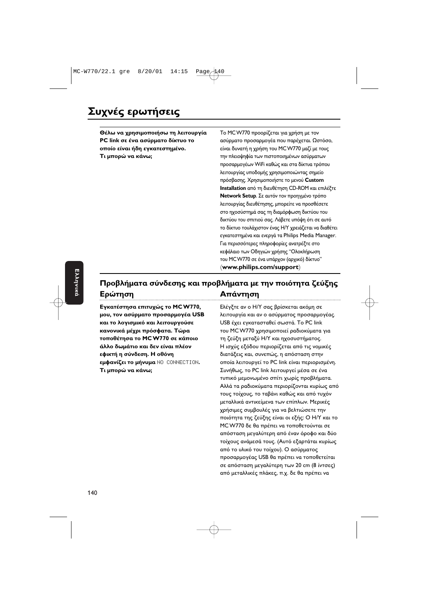Θέλω να χρησιμοποιήσω τη λ PC link σε ένα ασύρματο δίκτυο το οποίο είναι ήδη εγκατεστημένο. **Τι μπορώ να κάνω;** 

**ειτουργία** Το MCW770 προορίζεται για χρήση με τον ισύρματο προσαρμογέα που παρέχεται. Ωστόσο, ιι δυνατή η χρήση του MC W770 μαζί με τους ην πλειοψηφία των πιστοποιημένων ασύρματων προσαρμογέων WiFi καθώς και στα δίκτυα τρόπου λειτουργίας υποδομής χρησιμοποιώντας σημείο πρόσβασης. Χρησιμοποιήστε το μενού **Custom Installation** από τη διευθέτηση CD-ROM και επιλέξτε **Network Setup**. Σε αυτόν τον προηγμένο τρόπο λειτουργίας διευθέτησης, μπορείτε να προσθέσετε στο ηχοσύστημά σας τη διαμόρφωση δικτύου του δικτύου του σπιτιού σας. Λάβετε υπόψη ότι σε αυτό το δίκτυο τουλάχιστον ένας Η/Υ χρειάζεται να διαθέτει εγκατεστημένα και ενεργά τα Philips Media Manager. Για περισσότερες πληροφορίες ανατρέξτε στο κεφάλαιο των Οδηγιών χρήσης ''Ολοκλήρωση του MC W770 σε ένα υπάρχον (αρχικό) δίκτυο" (**www.philips.com/support**)

#### **Προβλήματα σύνδεσης και προβλήματα με την ποιότητα ζεύξης** Ερώτηση **Απάντηση**

**Εγκατέστησα επιτυχώς το MC W770, Ελέγξτ** μου, τον ασύρματο προσαρμογέα USB  **-# -** USB  "**κανονικά μέχρι πρόσφατα. Τώρα \_\_\_\_\_\_**\_\_\_\_  $\pi$ <sup>o</sup>ποθέτησα το MC W770 σε κάποιο άλλο δωμάτιο και δεν είναι πλ εφικτή η σύνδεση. Η οθόνη **εμφανίζει το μήνυμα NO CONNECTION.** Τι μπορώ να κάνω;

ε αν ο Η/Υ σας βρίσκεται ακόμη σε ουργία και αν ο ασύρματος προσαρμογέας. ιτασταθεί σωστά. Το PC link ου MC W770 χρησιμοποιεί ραδιοκύματα για η ζεύξη μεταξύ Η/Υ και ηχοσυστήματος. **έον** Η ισχύς εξόδου περιορίζεται από τις νομικές τάξεις και, συνεπώς, η απόσταση στην ι λειτουργεί το PC link είναι περιορισμένη. o PC link λειτουργεί μέσα σε ένα τυπικό μεμονωμένο σπίτι χωρίς προβλήματα. Αλλά τα ραδιοκύματα περιορίζονται κυρίως από τους τοίχους, το ταβάνι καθώς και από τυχόν μεταλλικά αντικείμενα των επίπλων. Μερικές χρήσιμες συμβουλές για να βελτιώσετε την ποιότητα της ζεύξης είναι οι εξής: Ο Η/Υ και το MC W770 δε θα πρέπει να τοποθετούνται σε απόσταση μεγαλύτερη από έναν όροφο και δύο τοίχους ανάμεσά τους. (Αυτό εξαρτάται κυρίως από το υλικό του τοίχου). Ο ασύρματος προσαρμογέας USB θα πρέπει να τοποθετείται σε απόσταση μεγαλύτερη των 20 cm (8 ίντσες) από μεταλλικές πλάκες, π.χ. δε θα πρέπει να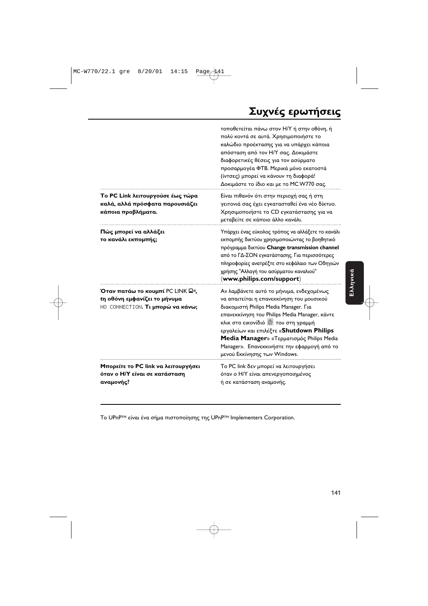## Συχνές ερωτήσεις

|                                                                                                      | τοποθετείται πάνω στον Η/Υ ή στην οθόνη, ή<br>πολύ κοντά σε αυτά. Χρησιμοποιήστε το<br>καλώδιο προέκτασης για να υπάρχει κάποια<br>απόσταση από τον Η/Υ σας. Δοκιμάστε<br>διαφορετικές θέσεις για τον ασύρματο<br>προσαρμογέα ΦΤΒ. Μερικά μόνο εκατοστά<br>(ίντσες) μπορεί να κάνουν τη διαφορά!<br>Δοκιμάστε το ίδιο και με το MCW770 σας.                                                         |
|------------------------------------------------------------------------------------------------------|-----------------------------------------------------------------------------------------------------------------------------------------------------------------------------------------------------------------------------------------------------------------------------------------------------------------------------------------------------------------------------------------------------|
| Το PC Link λειτουργούσε έως τώρα<br>καλά, αλλά πρόσφατα παρουσιάζει<br>κάποια προβλήματα.            | Είναι πιθανόν ότι στην περιοχή σας ή στη<br>γειτονιά σας έχει εγκατασταθεί ένα νέο δίκτυο.<br>Χρησιμοποιήστε το CD εγκατάστασης για να<br>μεταβείτε σε κάποιο άλλο κανάλι.                                                                                                                                                                                                                          |
| Πώς μπορεί να αλλάξει<br>το κανάλι εκπομπής;                                                         | Υπάρχει ένας εύκολος τρόπος να αλλάξετε το κανάλι<br>εκπομπής δικτύου χρησιμοποιώντας το βοηθητικό<br>πρόγραμμα δικτύου Change transmission channel<br>από το ΓΔ-ΣΟΝ εγκατάστασης. Για περισσότερες<br>πληροφορίες ανατρέξτε στο κεφάλαιο των Οδηγιών<br>χρήσης "Αλλαγή του ασύρματου καναλιού"<br>(www.philips.com/support)                                                                        |
| Όταν πατάω το κουμπί PC LINK Ω»,<br>tη οθόνη εμφανίζει το μήνυμα<br>ΝΟ CONNECTION. Τι μπορώ να κάνω; | Αν λαμβάνετε αυτό το μήνυμα, ενδεχομένως<br>να απαιτείται η επανεκκίνηση του μουσικού<br>διακομιστή Philips Media Manager. Για<br>επανεκκίνηση του Philips Media Manager, κάντε<br>κλικ στο εικονίδιό <b>του στη γραμμή</b><br>εργαλείων και επιλέξτε «Shutdown Philips<br>Media Manager» «Τερματισμός Philips Media<br>Manager». Επανεκκινήστε την εφαρμογή από το<br>μενού Εκκίνησης των Windows. |
| Μπορείτε το PC link να λειτουργήσει<br>όταν ο Η/Υ είναι σε κατάσταση<br>αναμονής?                    | Το PC link δεν μπορεί να λειτουργήσει<br>όταν ο Η/Υ είναι απενεργοποιημένος<br>ή σε κατάσταση αναμονής.                                                                                                                                                                                                                                                                                             |

Το UPnP™ είναι ένα σήμα πιστοποίησης της UPnP™ Implementers Corporation.